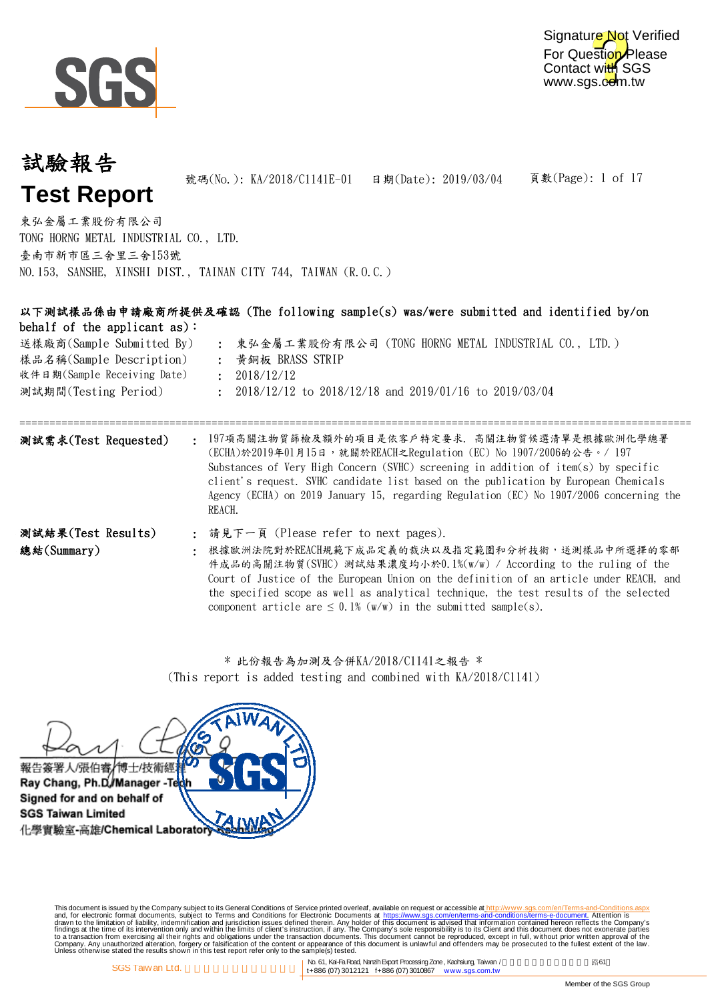

# 頁數(Page): 1 of 17 試驗報告 **Test Report** 號碼(No.): KA/2018/C1141E-01 日期(Date): 2019/03/04 東弘金屬工業股份有限公司

TONG HORNG METAL INDUSTRIAL CO., LTD. 臺南市新市區三舍里三舍153號 NO.153, SANSHE, XINSHI DIST., TAINAN CITY 744, TAIWAN (R.O.C.)

| behalf of the applicant as):<br>送樣廠商(Sample Submitted By)<br>樣品名稱(Sample Description)<br>收件日期(Sample Receiving Date)<br>測試期間(Testing Period) | 以下測試樣品係由申請廠商所提供及確認 (The following sample(s) was/were submitted and identified by/on<br>: 東弘金屬工業股份有限公司 (TONG HORNG METAL INDUSTRIAL CO., LTD.)<br>黃銅板 BRASS STRIP<br>2018/12/12<br>$\mathbf{r}$<br>: 2018/12/12 to 2018/12/18 and 2019/01/16 to 2019/03/04                                                                                                                                                                 |
|----------------------------------------------------------------------------------------------------------------------------------------------|---------------------------------------------------------------------------------------------------------------------------------------------------------------------------------------------------------------------------------------------------------------------------------------------------------------------------------------------------------------------------------------------------------------------------|
| 測試需求(Test Requested)                                                                                                                         | 197項高關注物質篩檢及額外的項目是依客戶特定要求. 高關注物質候選清單是根據歐洲化學總署<br>$\bullet$<br>(ECHA)於2019年01月15日, 就關於REACH之Regulation (EC) No 1907/2006的公告。/ 197<br>Substances of Very High Concern (SVHC) screening in addition of item(s) by specific<br>client's request. SVHC candidate list based on the publication by European Chemicals<br>Agency (ECHA) on 2019 January 15, regarding Regulation (EC) No 1907/2006 concerning the<br>REACH.      |
| 測試結果(Test Results)<br>總結(Summary)                                                                                                            | : 請見下一頁 (Please refer to next pages).<br>根據歐洲法院對於REACH規範下成品定義的裁決以及指定範圍和分析技術,送測樣品中所選擇的零部<br>件成品的高關注物質(SVHC) 測試結果濃度均小於0.1%(w/w) / According to the ruling of the<br>Court of Justice of the European Union on the definition of an article under REACH, and<br>the specified scope as well as analytical technique, the test results of the selected<br>component article are $\leq$ 0.1% (w/w) in the submitted sample(s). |

\* 此份報告為加測及合併KA/2018/C1141之報告 \* (This report is added testing and combined with KA/2018/C1141)



This document is issued by the Company subject to Terms and Conditions of Service printed overleaf, available on request on electronic forms. asponsible to the Seneral Conditions for Electronic Documents at https://www.sgs

No. 61, Kai-Fa Road, Nanzih Export Processing Zone, Kaohsiung, Taiwan / Kanadia Road, Kai-Fa Road, Nanzih Export Processing Zone, Kaohsiung, Taiwan / SGS Taiw an Ltd. 2001 states that the set of the set of the set of the set of the set of the set of the set of the set of the set of the set of the set of the set of the set of the set of the set of the set of the set of t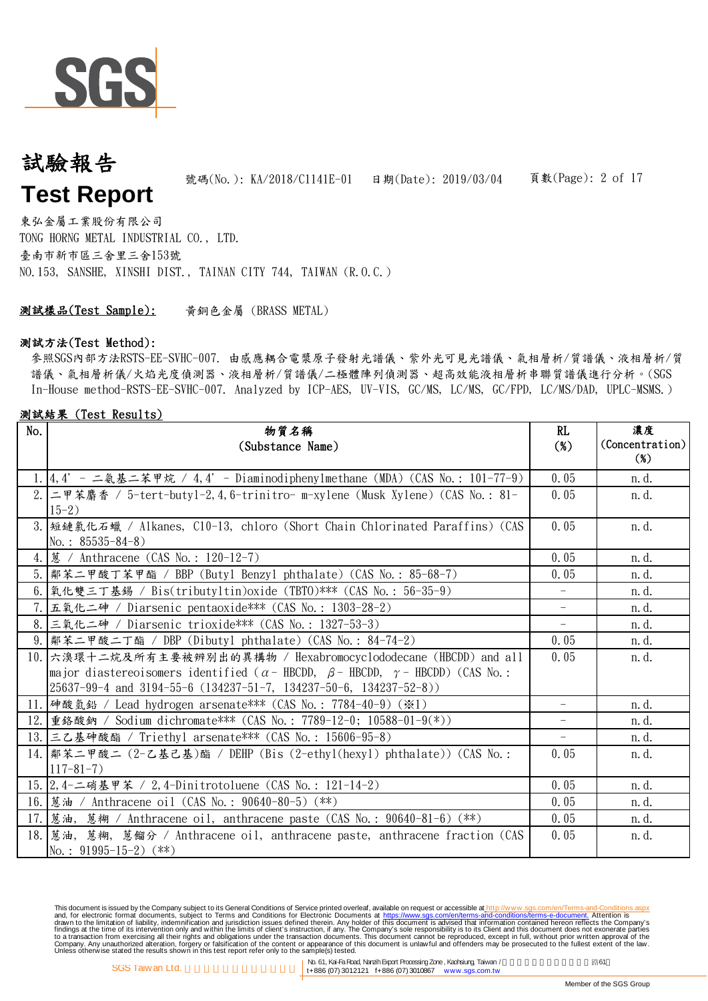

## 頁數(Page): 2 of 17 試驗報告 **Test Report** 號碼(No.): KA/2018/C1141E-01 日期(Date): 2019/03/04

東弘金屬工業股份有限公司 TONG HORNG METAL INDUSTRIAL CO., LTD. 臺南市新市區三舍里三舍153號 NO.153, SANSHE, XINSHI DIST., TAINAN CITY 744, TAIWAN (R.O.C.)

黃銅色金屬 (BRASS METAL) 測試樣品(Test Sample):

#### 測試方法(Test Method):

參照SGS內部方法RSTS-EE-SVHC-007. 由感應耦合電漿原子發射光譜儀、紫外光可見光譜儀、氣相層析/質譜儀、液相層析/質 譜儀、氣相層析儀/火焰光度偵測器、液相層析/質譜儀/二極體陣列偵測器、超高效能液相層析串聯質譜儀進行分析。(SGS In-House method-RSTS-EE-SVHC-007. Analyzed by ICP-AES, UV-VIS, GC/MS, LC/MS, GC/FPD, LC/MS/DAD, UPLC-MSMS.)

#### 測試結果 (Test Results)

| No. | 物質名稱<br>(Substance Name)                                                                                                                                                                                                                                                                          | RL<br>$(\%)$ | 濃度<br>(Concentration)<br>$(\%)$ |
|-----|---------------------------------------------------------------------------------------------------------------------------------------------------------------------------------------------------------------------------------------------------------------------------------------------------|--------------|---------------------------------|
|     | 1.4,4' - 二氨基二苯甲烷 / 4,4' - Diaminodiphenylmethane (MDA) (CAS No.: 101-77-9)                                                                                                                                                                                                                        | 0.05         | n. d.                           |
|     | 2. 二甲苯麝香 / 5-tert-buty1-2,4,6-trinitro- m-xylene (Musk Xylene) (CAS No.: 81-<br>$15-2)$                                                                                                                                                                                                           | 0.05         | n.d.                            |
|     | 3. 短鏈氯化石蠟 / Alkanes, C10-13, chloro (Short Chain Chlorinated Paraffins) (CAS<br>No.: $85535 - 84 - 8$ )                                                                                                                                                                                           | 0.05         | n. d.                           |
|     | 4.   蒽 / Anthracene (CAS No.: 120-12-7)                                                                                                                                                                                                                                                           | 0.05         | n.d.                            |
|     | 5.  鄰苯二甲酸丁苯甲酯 / BBP (Butyl Benzyl phthalate) (CAS No.: 85-68-7)                                                                                                                                                                                                                                   | 0.05         | n. d.                           |
|     | 6. 氧化雙三丁基錫 / Bis(tributyltin)oxide (TBTO)*** (CAS No.: 56-35-9)                                                                                                                                                                                                                                   |              | n.d.                            |
|     | 7.  五氧化二砷 / Diarsenic pentaoxide*** (CAS No.: 1303-28-2)                                                                                                                                                                                                                                          |              | n. d.                           |
|     | 8. 三氧化二砷 / Diarsenic trioxide*** (CAS No.: 1327-53-3)                                                                                                                                                                                                                                             | $-$          | n. d.                           |
|     | 9.  鄰苯二甲酸二丁酯 / DBP (Dibutyl phthalate) (CAS No.: 84-74-2)                                                                                                                                                                                                                                         | 0.05         | n.d.                            |
|     | 10. 六溴環十二烷及所有主要被辨別出的異構物 / Hexabromocyclododecane (HBCDD) and all<br>major diastereoisomers identified ( $\alpha$ - HBCDD, $\beta$ - HBCDD, $\gamma$ - HBCDD) (CAS No.:<br>$\left(25637 - 99 - 4 \text{ and } 3194 - 55 - 6 \left(134237 - 51 - 7, 134237 - 50 - 6, 134237 - 52 - 8\right)\right)$ | 0.05         | n. d.                           |
|     | 11. 神酸氫鉛 / Lead hydrogen arsenate*** (CAS No.: 7784-40-9) (※1)                                                                                                                                                                                                                                    | $-$          | n.d.                            |
|     | 12. 重鉻酸鈉 / Sodium dichromate*** (CAS No.: 7789-12-0; 10588-01-9(*))                                                                                                                                                                                                                               | $-$          | n.d.                            |
|     | 13. 三乙基砷酸酯 / Triethyl arsenate*** (CAS No.: 15606-95-8)                                                                                                                                                                                                                                           | $-$          | n. d.                           |
|     | 14.  鄰苯二甲酸二 (2-乙基己基)酯 / DEHP (Bis (2-ethyl(hexyl) phthalate)) (CAS No.:<br>$117 - 81 - 7$ )                                                                                                                                                                                                       | 0.05         | n.d.                            |
|     | 15. 2, 4-二硝基甲苯 / 2, 4-Dinitrotoluene (CAS No.: 121-14-2)                                                                                                                                                                                                                                          | 0.05         | n. d.                           |
|     | 16. 感油 / Anthracene oil (CAS No.: 90640-80-5) (**)                                                                                                                                                                                                                                                | 0.05         | n.d.                            |
|     | 17. 感油, 蔥糊 / Anthracene oil, anthracene paste (CAS No.: 90640-81-6) (**)                                                                                                                                                                                                                          | 0.05         | n. d.                           |
|     | 18. [蔥油, 蔥糊, 蔥餾分 / Anthracene oil, anthracene paste, anthracene fraction (CAS<br>No.: $91995-15-2$ (**)                                                                                                                                                                                           | 0.05         | n. d.                           |

This document is issued by the Company subject to Terms and Conditions of Service printed overleaf, available on request on electronic forms. asponsible to the Seneral Conditions for Electronic Documents at https://www.sgs

No. 61, Kai-Fa Road, Nanzih Export Processing Zone, Kaohsiung, Taiwan / Kanadia Road, Kai-Fa Road, Nanzih Export Processing Zone, Kaohsiung, Taiwan / SGS Taiw an Ltd. (1999) 6. Taiwan Atlantic Control of the SGS Taiwan and Ltd. (1999) 1121 f+886 (07) 3012121 f+886 (07) 3010867 www.sgs.com.tw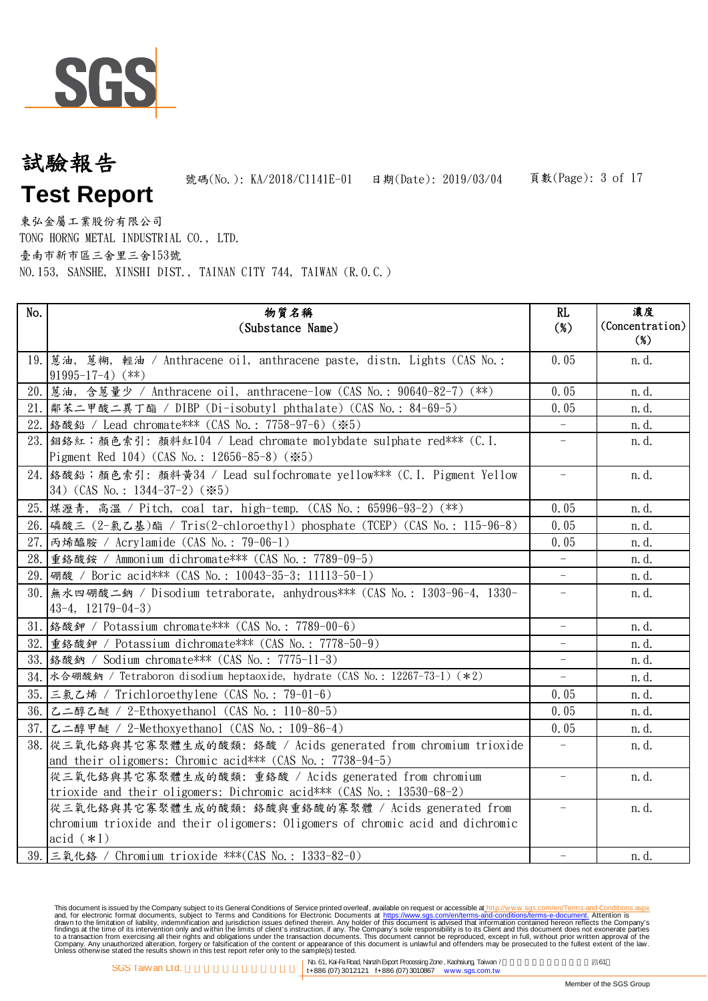

# 頁數(Page): 3 of 17 試驗報告 **Test Report** 號碼(No.): KA/2018/C1141E-01 日期(Date): 2019/03/04

東弘金屬工業股份有限公司 TONG HORNG METAL INDUSTRIAL CO., LTD. 臺南市新市區三舍里三舍153號 NO.153, SANSHE, XINSHI DIST., TAINAN CITY 744, TAIWAN (R.O.C.)

| No.  | 物質名稱<br>(Substance Name)                                                                                                                             | RL<br>$(\%)$             | 濃度<br>(Concentration)<br>$(\%)$ |
|------|------------------------------------------------------------------------------------------------------------------------------------------------------|--------------------------|---------------------------------|
|      | 19. تقط, 蔥糊, 輕油 / Anthracene oil, anthracene paste, distn. Lights (CAS No.:<br>$91995 - 17 - 4$ (**)                                                 | 0.05                     | n.d.                            |
|      | 20. 感油, 含蒽量少 / Anthracene oil, anthracene-low (CAS No.: 90640-82-7) (**)                                                                             | 0.05                     | n.d.                            |
|      | 21.  鄰苯二甲酸二異丁酯 / DIBP (Di-isobutyl phthalate) (CAS No.: 84-69-5)                                                                                     | 0.05                     | n.d.                            |
|      | 22. 络酸鉛 / Lead chromate*** (CAS No.: 7758-97-6) (※5)                                                                                                 |                          | n.d.                            |
|      | 23. 细络紅;顏色索引: 顏料紅104 / Lead chromate molybdate sulphate red*** (C. I.<br>Pigment Red 104) (CAS No.: 12656-85-8) (*5)                                 | $\overline{\phantom{m}}$ | n.d.                            |
|      | 24. 络酸鉛;顏色索引: 顏料黃34 / Lead sulfochromate yellow*** (C.I. Pigment Yellow<br>34) $(CAS No. : 1344-37-2)$ $(\divideontimes 5)$                          | $\overline{\phantom{a}}$ | n.d.                            |
|      | 25. 煤瀝青, 高溫 / Pitch, coal tar, high-temp. (CAS No.: 65996-93-2) (**)                                                                                 | 0.05                     | n.d.                            |
|      | 26. 磷酸三 (2-氯乙基)酯 / Tris(2-chloroethyl) phosphate (TCEP) (CAS No.: 115-96-8)                                                                          | 0.05                     | n.d.                            |
|      | 27. 丙烯醯胺 / Acrylamide (CAS No.: 79-06-1)                                                                                                             | 0.05                     | n. d.                           |
|      | 28. 重鉻酸銨 / Ammonium dichromate*** (CAS No.: 7789-09-5)                                                                                               | $\equiv$                 | n. d.                           |
|      | 29. 硼酸 / Boric acid*** (CAS No.: 10043-35-3; 11113-50-1)                                                                                             | $\equiv$                 | n.d.                            |
| 30.1 | 無水四硼酸二鈉 / Disodium tetraborate, anhydrous *** (CAS No.: 1303-96-4, 1330-<br>$43-4$ , $12179-04-3$                                                    |                          | n.d.                            |
|      | 31. 络酸鉀 / Potassium chromate*** (CAS No.: 7789-00-6)                                                                                                 | $\overline{\phantom{a}}$ | n. d.                           |
|      | 32. 重络酸鉀 / Potassium dichromate *** (CAS No.: 7778-50-9)                                                                                             |                          | n.d.                            |
|      | 33. 络酸鈉 / Sodium chromate *** (CAS No.: 7775-11-3)                                                                                                   |                          | n.d.                            |
|      | 34. 水合硼酸鈉 / Tetraboron disodium heptaoxide, hydrate (CAS No.: 12267-73-1) (*2)                                                                       | $\overline{\phantom{a}}$ | n.d.                            |
|      | 35. 三氯乙烯 / Trichloroethylene (CAS No.: 79-01-6)                                                                                                      | 0.05                     | n.d.                            |
|      | 36. 乙二醇乙醚 / 2-Ethoxyethanol (CAS No.: 110-80-5)                                                                                                      | 0.05                     | n.d.                            |
|      | 37. 乙二醇甲醚 / 2-Methoxyethanol (CAS No.: 109-86-4)                                                                                                     | 0.05                     | n.d.                            |
|      | 38. 從三氧化鉻與其它寡聚體生成的酸類: 鉻酸 / Acids generated from chromium trioxide<br>and their oligomers: Chromic acid*** (CAS No.: 7738-94-5)                       |                          | n.d.                            |
|      | 從三氧化鉻與其它寡聚體生成的酸類: 重鉻酸 / Acids generated from chromium<br>trioxide and their oligomers: Dichromic acid*** (CAS No.: 13530-68-2)                       | $\overline{\phantom{a}}$ | n.d.                            |
|      | 從三氧化鉻與其它寡聚體生成的酸類: 鉻酸與重鉻酸的寡聚體 / Acids generated from<br>chromium trioxide and their oligomers: Oligomers of chromic acid and dichromic<br>acid $(*1)$ | $\overline{\phantom{0}}$ | n.d.                            |
|      | 39. 三氧化鉻 / Chromium trioxide ***(CAS No.: 1333-82-0)                                                                                                 |                          | n.d.                            |

This document is issued by the Company subject to Terms and Conditions of Service printed overleaf, available on request on electronic forms. asponsible to the Seneral Conditions for Electronic Documents at https://www.sgs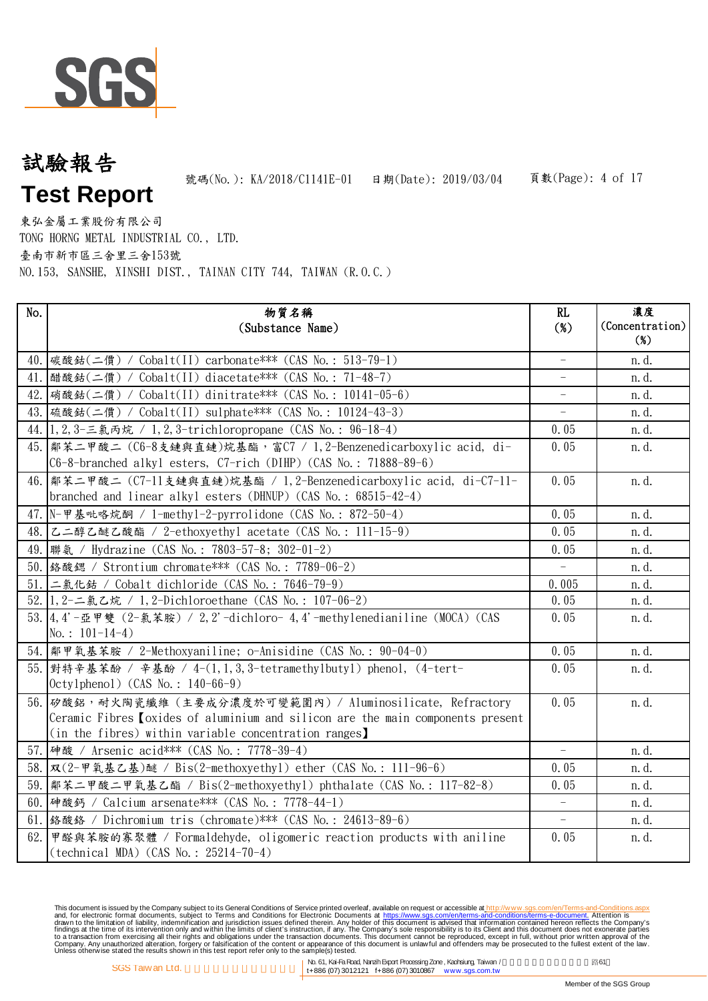

# 頁數(Page): 4 of 17 試驗報告 **Test Report** 號碼(No.): KA/2018/C1141E-01 日期(Date): 2019/03/04

東弘金屬工業股份有限公司 TONG HORNG METAL INDUSTRIAL CO., LTD. 臺南市新市區三舍里三舍153號 NO.153, SANSHE, XINSHI DIST., TAINAN CITY 744, TAIWAN (R.O.C.)

| No.  | 物質名稱<br>(Substance Name)                                                                                                                                                                                     | RL<br>$(\%)$             | 濃度<br>(Concentration)<br>$(\%)$ |
|------|--------------------------------------------------------------------------------------------------------------------------------------------------------------------------------------------------------------|--------------------------|---------------------------------|
|      | 40.  碳酸鈷(二價) / Cobalt(II) carbonate*** (CAS No.: 513-79-1)                                                                                                                                                   |                          | n. d.                           |
|      | 41. 醋酸鈷(二價) / Cobalt(II) diacetate*** (CAS No.: 71-48-7)                                                                                                                                                     | $\overline{\phantom{0}}$ | n. d.                           |
|      | 42. [硝酸鈷(二價) / Cobalt(II) dinitrate*** (CAS No.: 10141-05-6)                                                                                                                                                 | $\overline{\phantom{0}}$ | n.d.                            |
|      | 43. 硫酸鈷(二價) / Cobalt(II) sulphate*** (CAS No.: 10124-43-3)                                                                                                                                                   | $\overline{\phantom{0}}$ | n. d.                           |
|      | 44. 1, 2, 3-三氯丙烷 / 1, 2, 3-trichloropropane (CAS No.: 96-18-4)                                                                                                                                               | 0.05                     | n. d.                           |
|      | 45. 鄰苯二甲酸二 (C6-8支鏈與直鏈)烷基酯,富C7 / 1, 2-Benzenedicarboxylic acid, di-<br>C6-8-branched alkyl esters, C7-rich (DIHP) (CAS No.: 71888-89-6)                                                                       | 0.05                     | n.d.                            |
|      | 46.  鄰苯二甲酸二 (C7-11支鏈與直鏈)烷基酯 / 1, 2-Benzenedicarboxylic acid, di-C7-11-<br>branched and linear alkyl esters (DHNUP) (CAS No.: $68515-42-4$ )                                                                  | 0.05                     | n.d.                            |
|      | 47. N-甲基吡咯烷酮 / 1-methy1-2-pyrrolidone (CAS No.: 872-50-4)                                                                                                                                                    | 0.05                     | n.d.                            |
|      | 48. 乙二醇乙醚乙酸酯 / 2-ethoxyethyl acetate (CAS No.: 111-15-9)                                                                                                                                                     | 0.05                     | n. d.                           |
|      | 49.  聯氨 / Hydrazine (CAS No.: 7803-57-8; 302-01-2)                                                                                                                                                           | 0.05                     | n.d.                            |
|      | 50. 络酸鍶 / Strontium chromate*** (CAS No.: 7789-06-2)                                                                                                                                                         |                          | n.d.                            |
| 51.1 | 二氯化鈷 / Cobalt dichloride (CAS No.: 7646-79-9)                                                                                                                                                                | 0.005                    | n.d.                            |
|      | 52. 1, 2-二氯乙烷 / 1, 2-Dichloroethane (CAS No.: 107-06-2)                                                                                                                                                      | 0.05                     | n.d.                            |
|      | 53.4.4'-亞甲雙 (2-氯苯胺) / 2,2'-dichloro- 4,4'-methylenedianiline (MOCA) (CAS<br>No.: $101-14-4$ )                                                                                                                | 0.05                     | n.d.                            |
|      | 54.  鄰甲氧基苯胺 / 2-Methoxyaniline; o-Anisidine (CAS No.: 90-04-0)                                                                                                                                               | 0.05                     | n.d.                            |
|      | 55. 對特辛基苯酚 / 辛基酚 / 4-(1, 1, 3, 3-tetramethylbutyl) phenol, (4-tert-<br>$Octylphenol)$ (CAS No.: 140-66-9)                                                                                                    | 0.05                     | n.d.                            |
|      | 56. 矽酸鋁,耐火陶瓷纖維(主要成分濃度於可變範圍內)/ Aluminosilicate, Refractory<br>Ceramic Fibres <i>(oxides of aluminium and silicon are the main components present</i><br>(in the fibres) within variable concentration ranges) | 0.05                     | n.d.                            |
|      | 57. 砷酸 / Arsenic acid*** (CAS No.: 7778-39-4)                                                                                                                                                                | $\equiv$                 | n. d.                           |
|      | 58.   双 (2-甲氧基乙基) 醚 / Bis(2-methoxyethy1) ether (CAS No.: 111-96-6)                                                                                                                                          | 0.05                     | n. d.                           |
|      | 59.  鄰苯二甲酸二甲氧基乙酯 / Bis(2-methoxyethyl) phthalate (CAS No.: 117-82-8)                                                                                                                                         | 0.05                     | n. d.                           |
|      | 60. 神酸鈣 / Calcium arsenate*** (CAS No.: 7778-44-1)                                                                                                                                                           | $\equiv$                 | n. d.                           |
|      | 61. 络酸鉻 / Dichromium tris (chromate)*** (CAS No.: 24613-89-6)                                                                                                                                                |                          | n.d.                            |
| 62.  | 甲醛與苯胺的寡聚體 / Formaldehyde, oligomeric reaction products with aniline<br>$(technical MDA) (CAS No. : 25214-70-4)$                                                                                              | 0.05                     | n.d.                            |

This document is issued by the Company subject to Terms and Conditions of Service printed overleaf, available on request on electronic forms. asponsible to the Seneral Conditions for Electronic Documents at https://www.sgs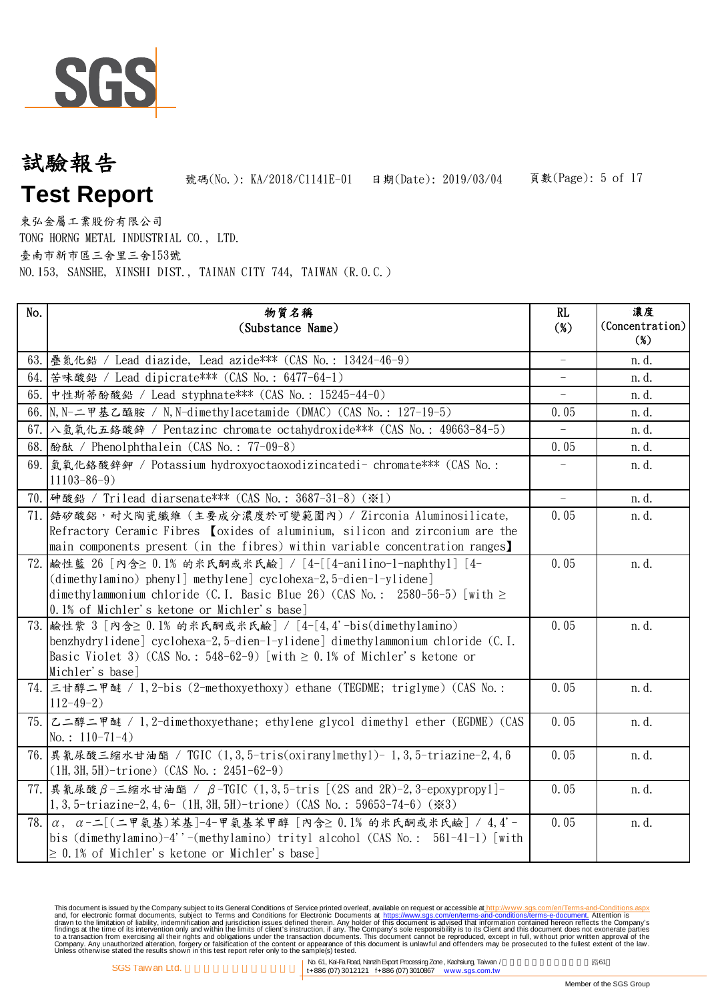

# 頁數(Page): 5 of 17 試驗報告 **Test Report** 號碼(No.): KA/2018/C1141E-01 日期(Date): 2019/03/04

東弘金屬工業股份有限公司 TONG HORNG METAL INDUSTRIAL CO., LTD. 臺南市新市區三舍里三舍153號 NO.153, SANSHE, XINSHI DIST., TAINAN CITY 744, TAIWAN (R.O.C.)

| No. | 物質名稱<br>(Substance Name)                                                                                                                                                                                                                                          | RL<br>$(\%)$             | 濃度<br>(Concentration)<br>$9$ |
|-----|-------------------------------------------------------------------------------------------------------------------------------------------------------------------------------------------------------------------------------------------------------------------|--------------------------|------------------------------|
|     | 63. 疊氮化鉛 / Lead diazide, Lead azide*** (CAS No.: 13424-46-9)                                                                                                                                                                                                      | $\equiv$                 | n. d.                        |
|     | 64. 苦味酸鉛 / Lead dipicrate*** (CAS No.: 6477-64-1)                                                                                                                                                                                                                 | $\equiv$                 | n.d.                         |
| 65. | 中性斯蒂酚酸鉛 / Lead styphnate *** (CAS No.: 15245-44-0)                                                                                                                                                                                                                |                          | n.d.                         |
|     | 66. N, N-二甲基乙醯胺 / N, N-dimethylacetamide (DMAC) (CAS No.: 127-19-5)                                                                                                                                                                                               | 0.05                     | n.d.                         |
|     | 67. 八氫氧化五鉻酸鋅 / Pentazinc chromate octahydroxide*** (CAS No.: 49663-84-5)                                                                                                                                                                                          | $\overline{\phantom{a}}$ | n.d.                         |
|     | 68. 酚酞 / Phenolphthalein (CAS No.: 77-09-8)                                                                                                                                                                                                                       | 0.05                     | n.d.                         |
|     | 69. 氢氧化鉻酸鋅鉀 / Potassium hydroxyoctaoxodizincatedi- chromate*** (CAS No.:<br>$11103 - 86 - 9$                                                                                                                                                                      |                          | n.d.                         |
|     | 70. 神酸鉛 / Trilead diarsenate*** (CAS No.: 3687-31-8) (※1)                                                                                                                                                                                                         | $\overline{\phantom{a}}$ | n. d.                        |
|     | 71. 结矽酸鋁, 耐火陶瓷纖維 (主要成分濃度於可變範圍內) / Zirconia Aluminosilicate,<br>Refractory Ceramic Fibres [oxides of aluminium, silicon and zirconium are the<br>main components present (in the fibres) within variable concentration ranges)                                     | 0.05                     | n.d.                         |
| 72. | 鹼性藍 26 [內含≥ 0.1% 的米氏酮或米氏鹼] / [4-[[4-anilino-1-naphthyl] [4-<br>$(dimethylamino)$ phenyl methylene cyclohexa-2, 5-dien-1-ylidene<br>dimethylammonium chloride (C.I. Basic Blue 26) (CAS No.: 2580-56-5) [with $\ge$<br>0.1% of Michler's ketone or Michler's base] | 0.05                     | n.d.                         |
|     | 73. 鹼性紫 3「內含≥ 0.1% 的米氏酮或米氏鹼】/ [4-[4,4'-bis(dimethylamino)<br>benzhydrylidene] cyclohexa-2, 5-dien-1-ylidene] dimethylammonium chloride (C.I.<br>Basic Violet 3) (CAS No.: $548-62-9$ ) [with $\geq 0.1\%$ of Michler's ketone or<br>Michler's base]               | 0.05                     | n.d.                         |
|     | 74. 三甘醇二甲醚 / 1, 2-bis (2-methoxyethoxy) ethane (TEGDME; triglyme) (CAS No.:<br>$112 - 49 - 2)$                                                                                                                                                                    | 0.05                     | n.d.                         |
|     | 75. 乙二醇二甲醚 / 1,2-dimethoxyethane; ethylene glycol dimethyl ether (EGDME) (CAS<br>No.: $110-71-4$ )                                                                                                                                                                | 0.05                     | n.d.                         |
|     | 76. 異氰尿酸三缩水甘油酯 / TGIC (1,3,5-tris(oxiranylmethyl)-1,3,5-triazine-2,4,6<br>$(1H, 3H, 5H)$ -trione) (CAS No.: 2451-62-9)                                                                                                                                            | 0.05                     | n.d.                         |
| 77. | 異氰尿酸β-三縮水甘油酯 / β-TGIC (1,3,5-tris [(2S and 2R)-2,3-epoxypropy1]-<br>1, 3, 5-triazine-2, 4, 6- (1H, 3H, 5H)-trione) (CAS No.: 59653-74-6) ( $\ge 3$ )                                                                                                              | 0.05                     | n.d.                         |
|     | 78. a, a-二「(二甲氨基)苯基]-4-甲氨基苯甲醇「內含≥ 0.1% 的米氏酮或米氏鹼   / 4,4'-<br>bis (dimethylamino)-4''-(methylamino) trityl alcohol (CAS No.: 561-41-1) [with<br>$\geq$ 0.1% of Michler's ketone or Michler's base]                                                                 | 0.05                     | n.d.                         |

This document is issued by the Company subject to Terms and Conditions of Service printed overleaf, available on request on electronic forms. asponsible to the Seneral Conditions for Electronic Documents at https://www.sgs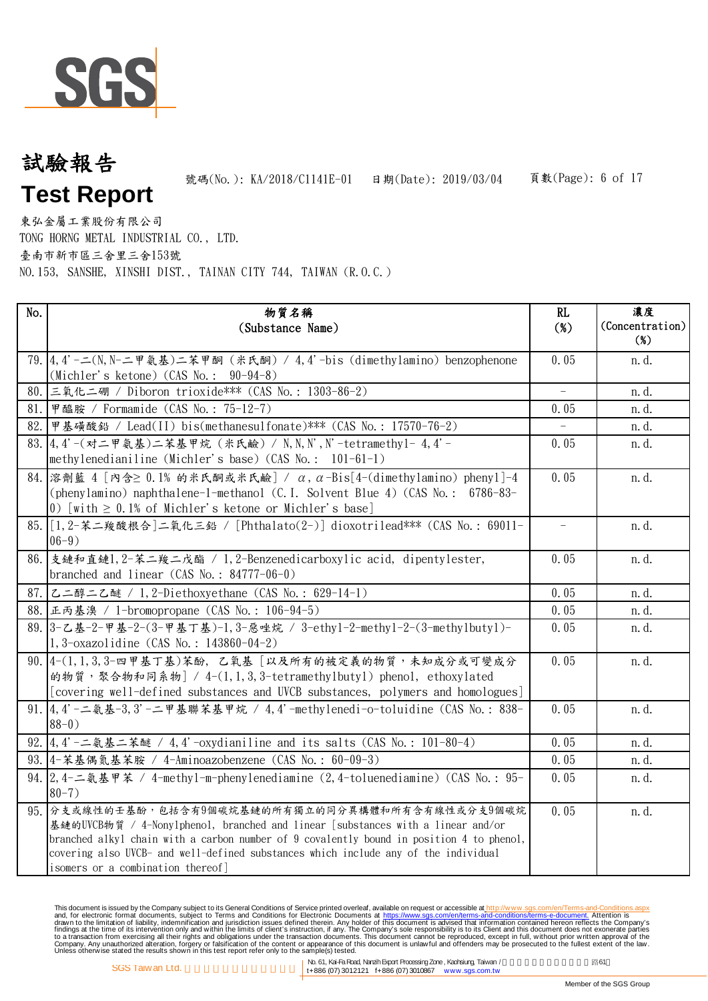

# 頁數(Page): 6 of 17 試驗報告 **Test Report** 號碼(No.): KA/2018/C1141E-01 日期(Date): 2019/03/04

東弘金屬工業股份有限公司 TONG HORNG METAL INDUSTRIAL CO., LTD. 臺南市新市區三舍里三舍153號 NO.153, SANSHE, XINSHI DIST., TAINAN CITY 744, TAIWAN (R.O.C.)

| No. | 物質名稱<br>(Substance Name)                                                                                                                                                                                                                                                                                                                                     | RL<br>$(\%)$             | 濃度<br>(Concentration)<br>$(\%)$ |
|-----|--------------------------------------------------------------------------------------------------------------------------------------------------------------------------------------------------------------------------------------------------------------------------------------------------------------------------------------------------------------|--------------------------|---------------------------------|
|     | 79. 4. 4'-二(N, N-二甲氨基)二苯甲酮 (米氏酮) / 4. 4'-bis (dimethylamino) benzophenone<br>(Michler's ketone) (CAS No.: 90-94-8)                                                                                                                                                                                                                                           | 0.05                     | n.d.                            |
|     | 80. 三氧化二硼 / Diboron trioxide*** (CAS No.: 1303-86-2)                                                                                                                                                                                                                                                                                                         |                          | n.d.                            |
|     | 81. 甲醯胺 / Formamide (CAS No.: 75-12-7)                                                                                                                                                                                                                                                                                                                       | 0.05                     | n.d.                            |
| 82. | 甲基磺酸鉛 / Lead(II) bis(methanesulfonate) *** (CAS No.: 17570-76-2)                                                                                                                                                                                                                                                                                             |                          | n.d.                            |
|     | 83. 4.4'-(对二甲氨基)二苯基甲烷 (米氏鹼) / N, N, N', N'-tetramethyl- 4,4'-<br>methylenedianiline (Michler's base) (CAS No.: 101-61-1)                                                                                                                                                                                                                                     | 0.05                     | n.d.                            |
|     | $84.$ 溶劑藍 4 「內含 20.1% 的米氏酮或米氏鹼] / α, α-Bis [4-(dimethylamino) phenyl]-4<br>(phenylamino) naphthalene-1-methanol (C.I. Solvent Blue 4) (CAS No.: 6786-83-<br>0) [with $\geq$ 0.1% of Michler's ketone or Michler's base]                                                                                                                                      | 0.05                     | n.d.                            |
|     | 85. [1, 2-苯二羧酸根合]二氧化三鉛 / [Phthalato(2-)] dioxotrilead*** (CAS No.: 69011-<br>$06-9)$                                                                                                                                                                                                                                                                         | $\overline{\phantom{a}}$ | n.d.                            |
|     | 86. 支鏈和直鏈1, 2-苯二羧二戊酯 / 1, 2-Benzenedicarboxylic acid, dipentylester,<br>branched and linear $(CAS No. : 84777-06-0)$                                                                                                                                                                                                                                         | 0.05                     | n.d.                            |
|     | 87. 乙二醇二乙醚 / 1, 2-Diethoxyethane (CAS No.: 629-14-1)                                                                                                                                                                                                                                                                                                         | 0.05                     | n.d.                            |
|     | 88. 正丙基溴 / 1-bromopropane (CAS No.: 106-94-5)                                                                                                                                                                                                                                                                                                                | 0.05                     | n. d.                           |
|     | 89. 3-乙基-2-甲基-2-(3-甲基丁基)-1, 3-惡唑烷 / 3-ethy1-2-methy1-2-(3-methy1buty1)-<br>$1, 3$ -oxazolidine (CAS No.: 143860-04-2)                                                                                                                                                                                                                                        | 0.05                     | n.d.                            |
|     | 90. 4-(1,1,3,3-四甲基丁基)苯酚, 乙氧基 [以及所有的被定義的物質,未知成分或可變成分<br>的物質,聚合物和同系物   / 4-(1, 1, 3, 3-tetramethylbutyl) phenol, ethoxylated<br>[covering well-defined substances and UVCB substances, polymers and homologues]                                                                                                                                                | 0.05                     | n.d.                            |
|     | 91. 4. 4' -二氨基-3, 3' -二甲基聯苯基甲烷 / 4, 4' -methylenedi-o-toluidine (CAS No.: 838-<br>$88-0)$                                                                                                                                                                                                                                                                    | 0.05                     | n.d.                            |
|     | 92. 4, 4'-二氨基二苯醚 / 4, 4'-oxydianiline and its salts (CAS No.: 101-80-4)                                                                                                                                                                                                                                                                                      | 0.05                     | n. d.                           |
|     | 93. 4-苯基偶氮基苯胺 / 4-Aminoazobenzene (CAS No.: 60-09-3)                                                                                                                                                                                                                                                                                                         | 0.05                     | n. d.                           |
|     | 94. 2.4-二氨基甲苯 / 4-methyl-m-phenylenediamine (2,4-toluenediamine) (CAS No.: 95-<br>$80 - 7$ )                                                                                                                                                                                                                                                                 | 0.05                     | n.d.                            |
|     | 95. 分支或線性的壬基酚,包括含有9個碳烷基鏈的所有獨立的同分異構體和所有含有線性或分支9個碳烷<br>基鏈的UVCB物質 / 4-Nonylphenol, branched and linear [substances with a linear and/or<br>branched alkyl chain with a carbon number of 9 covalently bound in position 4 to phenol,<br>covering also UVCB- and well-defined substances which include any of the individual<br>isomers or a combination thereof] | 0.05                     | n.d.                            |

This document is issued by the Company subject to Terms and Conditions of Service printed overleaf, available on request on electronic forms. asponsible to the Seneral Conditions for Electronic Documents at https://www.sgs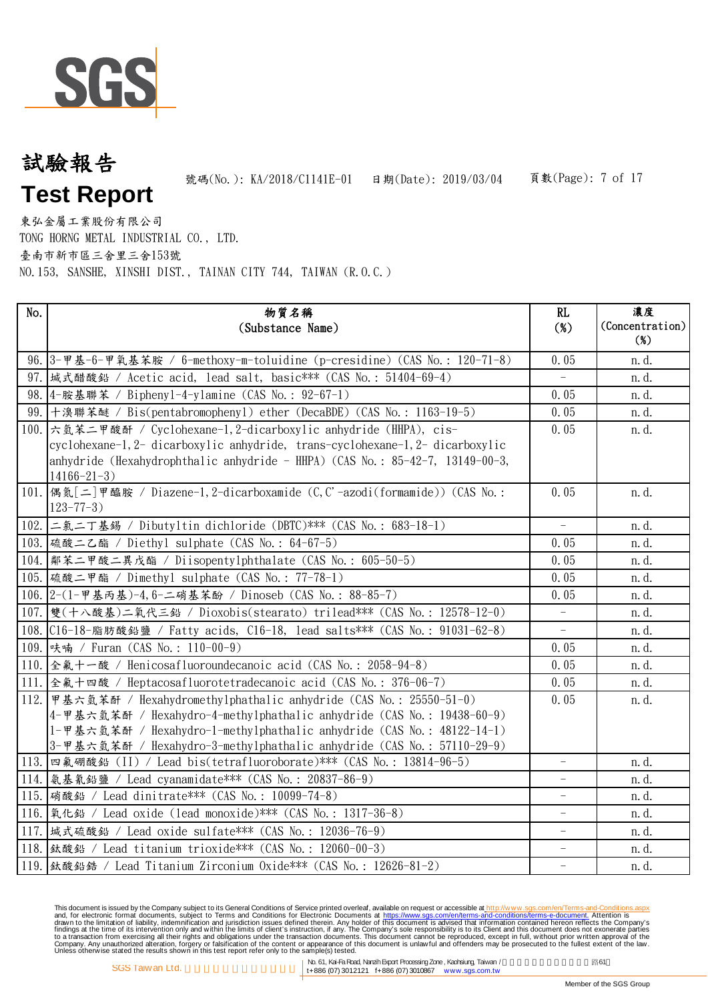

# 頁數(Page): 7 of 17 試驗報告 **Test Report** 號碼(No.): KA/2018/C1141E-01 日期(Date): 2019/03/04

東弘金屬工業股份有限公司 TONG HORNG METAL INDUSTRIAL CO., LTD. 臺南市新市區三舍里三舍153號 NO.153, SANSHE, XINSHI DIST., TAINAN CITY 744, TAIWAN (R.O.C.)

| No. | 物質名稱<br>(Substance Name)                                                                                                                                                                                                   | RL<br>$(\%)$             | 濃度<br>(Concentration)<br>$(\%)$ |
|-----|----------------------------------------------------------------------------------------------------------------------------------------------------------------------------------------------------------------------------|--------------------------|---------------------------------|
|     |                                                                                                                                                                                                                            | 0.05                     | n.d.                            |
|     | 96. 3-甲基-6-甲氧基苯胺 / 6-methoxy-m-toluidine (p-cresidine) (CAS No.: 120-71-8)<br>97.  城式醋酸鉛 / Acetic acid, lead salt, basic*** (CAS No.: 51404-69-4)                                                                          | $\overline{\phantom{a}}$ | n.d.                            |
|     | 98. 4-胺基聯苯 / Bipheny1-4-ylamine (CAS No.: 92-67-1)                                                                                                                                                                         | 0.05                     | n.d.                            |
|     | 99. 十溴聯苯醚 / Bis(pentabromophenyl) ether (DecaBDE) (CAS No.: 1163-19-5)                                                                                                                                                     | 0.05                     | n.d.                            |
|     | 100. 六氫苯二甲酸酐 / Cyclohexane-1, 2-dicarboxylic anhydride (HHPA), cis-                                                                                                                                                        | 0.05                     | n.d.                            |
|     | cyclohexane-1, 2- dicarboxylic anhydride, trans-cyclohexane-1, 2- dicarboxylic<br>anhydride (Hexahydrophthalic anhydride - HHPA) (CAS No.: $85-42-7$ , 13149-00-3,<br>$14166 - 21 - 3$                                     |                          |                                 |
|     | 101. 偶氮[二]甲醯胺 / Diazene-1, 2-dicarboxamide (C, C'-azodi(formamide)) (CAS No.:<br>$123 - 77 - 3$ )                                                                                                                          | 0.05                     | n.d.                            |
|     | 102. 二氯二丁基錫 / Dibutyltin dichloride (DBTC)*** (CAS No.: 683-18-1)                                                                                                                                                          | $\equiv$                 | n.d.                            |
|     | 103. 硫酸二乙酯 / Diethyl sulphate (CAS No.: 64-67-5)                                                                                                                                                                           | 0.05                     | n.d.                            |
|     | 104.  鄰苯二甲酸二異戊酯 / Diisopentylphthalate (CAS No.: 605-50-5)                                                                                                                                                                 | 0.05                     | n.d.                            |
|     | 105. 硫酸二甲酯 / Dimethyl sulphate (CAS No.: 77-78-1)                                                                                                                                                                          | 0.05                     | n.d.                            |
|     | 106. 2-(1-甲基丙基)-4, 6-二硝基苯酚 / Dinoseb (CAS No.: 88-85-7)                                                                                                                                                                    | 0.05                     | n. d.                           |
|     | 107. 雙(十八酸基)二氧代三鉛 / Dioxobis(stearato) trilead*** (CAS No.: 12578-12-0)                                                                                                                                                    |                          | n. d.                           |
|     | 108. C16-18-脂肪酸鉛鹽 / Fatty acids, C16-18, lead salts*** (CAS No.: 91031-62-8)                                                                                                                                               |                          | n.d.                            |
|     | 109. 呋喃 / Furan (CAS No.: 110-00-9)                                                                                                                                                                                        | 0.05                     | n.d.                            |
|     | 110. 全氟十一酸 / Henicosafluoroundecanoic acid (CAS No.: 2058-94-8)                                                                                                                                                            | 0.05                     | n.d.                            |
|     | 111. 全氟十四酸 / Heptacosafluorotetradecanoic acid (CAS No.: 376-06-7)                                                                                                                                                         | 0.05                     | n.d.                            |
|     | 112. 甲基六氢苯酐 / Hexahydromethylphathalic anhydride (CAS No.: 25550-51-0)                                                                                                                                                     | 0.05                     | n.d.                            |
|     | 4-甲基六氫苯酐 / Hexahydro-4-methylphathalic anhydride (CAS No.: 19438-60-9)<br>1-甲基六氫苯酐 / Hexahydro-1-methylphathalic anhydride (CAS No.: 48122-14-1)<br>3-甲基六氫苯酐 / Hexahydro-3-methylphathalic anhydride (CAS No.: 57110-29-9) |                          |                                 |
|     | 113. 四氟硼酸鉛 (II) / Lead bis(tetrafluoroborate)*** (CAS No.: 13814-96-5)                                                                                                                                                     | $\overline{\phantom{a}}$ | n.d.                            |
|     | 114. 氨基氰鉛鹽 / Lead cyanamidate *** (CAS No.: 20837-86-9)                                                                                                                                                                    | $\equiv$                 | n.d.                            |
|     | 115. 硝酸鉛 / Lead dinitrate *** (CAS No.: 10099-74-8)                                                                                                                                                                        |                          | n.d.                            |
|     | 116. 氧化鉛 / Lead oxide (lead monoxide) *** (CAS No.: 1317-36-8)                                                                                                                                                             |                          | n.d.                            |
|     | 117.  城式硫酸鉛 / Lead oxide sulfate*** (CAS No.: 12036-76-9)                                                                                                                                                                  | $\overline{\phantom{0}}$ | n.d.                            |
|     | 118.  鈦酸鉛 / Lead titanium trioxide*** (CAS No.: 12060-00-3)                                                                                                                                                                | $\qquad \qquad -$        | n.d.                            |
|     | 119.  鈦酸鉛鋯 / Lead Titanium Zirconium 0xide*** (CAS No.: 12626-81-2)                                                                                                                                                        | $\qquad \qquad -$        | n.d.                            |

This document is issued by the Company subject to Terms and Conditions of Service printed overleaf, available on request on electronic forms. asponsible to the Seneral Conditions for Electronic Documents at https://www.sgs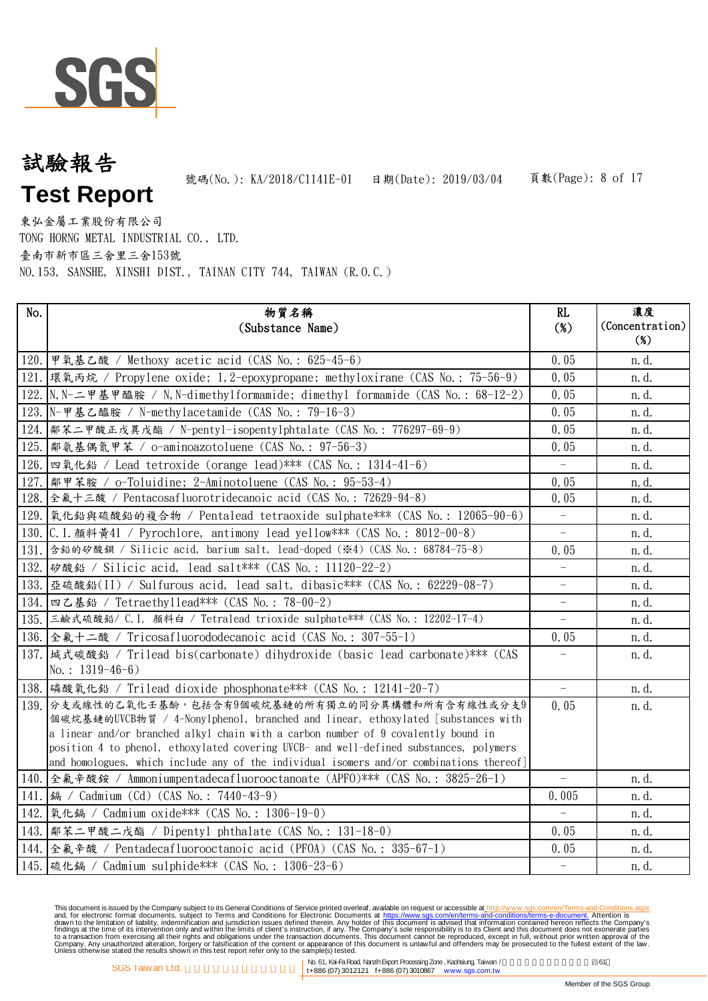

# 頁數(Page): 8 of 17 試驗報告 **Test Report** 號碼(No.): KA/2018/C1141E-01 日期(Date): 2019/03/04

東弘金屬工業股份有限公司 TONG HORNG METAL INDUSTRIAL CO., LTD. 臺南市新市區三舍里三舍153號 NO.153, SANSHE, XINSHI DIST., TAINAN CITY 744, TAIWAN (R.O.C.)

| No.  | 物質名稱<br>(Substance Name)                                                                                                                                                                                                                                                                                                                                                                                          | RL<br>$(\%)$             | 濃度<br>(Concentration)<br>$(\%)$ |
|------|-------------------------------------------------------------------------------------------------------------------------------------------------------------------------------------------------------------------------------------------------------------------------------------------------------------------------------------------------------------------------------------------------------------------|--------------------------|---------------------------------|
|      |                                                                                                                                                                                                                                                                                                                                                                                                                   |                          |                                 |
|      | 120. 甲氧基乙酸 / Methoxy acetic acid (CAS No.: 625-45-6)                                                                                                                                                                                                                                                                                                                                                              | 0.05                     | n.d.                            |
|      | 121. 環氧丙烷 / Propylene oxide; 1, 2-epoxypropane; methyloxirane (CAS No.: 75-56-9)                                                                                                                                                                                                                                                                                                                                  | 0.05                     | n.d.                            |
|      | 122. N, N-二甲基甲醯胺 / N, N-dimethylformamide; dimethyl formamide (CAS No.: 68-12-2)                                                                                                                                                                                                                                                                                                                                  | 0.05                     | n.d.                            |
|      | 123. N-甲基乙醯胺 / N-methylacetamide (CAS No.: 79-16-3)                                                                                                                                                                                                                                                                                                                                                               | 0.05                     | n.d.                            |
|      | 124.  鄰苯二甲酸正戊異戊酯 / N-pentyl-isopentylphtalate (CAS No. : 776297-69-9)                                                                                                                                                                                                                                                                                                                                             | 0.05                     | n.d.                            |
|      | 125.  鄰氨基偶氮甲苯 / o-aminoazotoluene (CAS No.: 97-56-3)                                                                                                                                                                                                                                                                                                                                                              | 0.05                     | n.d.                            |
|      | 126. 四氧化鉛 / Lead tetroxide (orange lead)*** (CAS No.: 1314-41-6)                                                                                                                                                                                                                                                                                                                                                  |                          | n.d.                            |
| 127. | 鄰甲苯胺 / o-Toluidine; 2-Aminotoluene (CAS No.: 95-53-4)                                                                                                                                                                                                                                                                                                                                                             | 0.05                     | n.d.                            |
|      | 128. 全氟十三酸 / Pentacosafluorotridecanoic acid (CAS No.: 72629-94-8)                                                                                                                                                                                                                                                                                                                                                | 0.05                     | n.d.                            |
|      | 129.  氧化鉛與硫酸鉛的複合物 / Pentalead tetraoxide sulphate*** (CAS No. : 12065-90-6)                                                                                                                                                                                                                                                                                                                                       | $\overline{\phantom{0}}$ | n. d.                           |
|      | 130. C.I. 顏料黃41 / Pyrochlore, antimony lead yellow*** (CAS No.: 8012-00-8)                                                                                                                                                                                                                                                                                                                                        | $\overline{\phantom{0}}$ | n. d.                           |
|      | 131. 含鉛的矽酸鋇 / Silicic acid, barium salt, lead-doped (※4) (CAS No.: 68784-75-8)                                                                                                                                                                                                                                                                                                                                    | 0.05                     | n. d.                           |
|      | 132. 砂酸鉛 / Silicic acid, lead salt*** (CAS No.: 11120-22-2)                                                                                                                                                                                                                                                                                                                                                       |                          | n.d.                            |
|      | 133. 亜硫酸鉛(II) / Sulfurous acid, lead salt, dibasic*** (CAS No.: 62229-08-7)                                                                                                                                                                                                                                                                                                                                       |                          | n.d.                            |
|      | 134. 四乙基鉛 / Tetraethyllead*** (CAS No.: 78-00-2)                                                                                                                                                                                                                                                                                                                                                                  |                          | n. d.                           |
|      | 135. 三鹼式硫酸鉛/ C.I. 顏料白 / Tetralead trioxide sulphate*** (CAS No.: 12202-17-4)                                                                                                                                                                                                                                                                                                                                      | $-$                      | n.d.                            |
|      | 136. 全氟十二酸 / Tricosafluorododecanoic acid (CAS No.: 307-55-1)                                                                                                                                                                                                                                                                                                                                                     | 0.05                     | n.d.                            |
|      | 137.  城式碳酸鉛 / Trilead bis(carbonate) dihydroxide (basic lead carbonate)*** (CAS<br>No.: $1319-46-6$ )                                                                                                                                                                                                                                                                                                             | $\qquad \qquad -$        | n.d.                            |
|      | 138. 磷酸氧化鉛 / Trilead dioxide phosphonate*** (CAS No.: 12141-20-7)                                                                                                                                                                                                                                                                                                                                                 | $\equiv$                 | n.d.                            |
|      | 139. 分支或線性的乙氧化壬基酚,包括含有9個碳烷基鏈的所有獨立的同分異構體和所有含有線性或分支9<br>個碳烷基鏈的UVCB物質 / 4-Nonylphenol, branched and linear, ethoxylated [substances with<br>a linear and/or branched alkyl chain with a carbon number of 9 covalently bound in<br>position 4 to phenol, ethoxylated covering UVCB- and well-defined substances, polymers<br>and homologues, which include any of the individual isomers and/or combinations thereof] | 0.05                     | n.d.                            |
|      | 140. 全氟辛酸銨 / Ammoniumpentadecafluorooctanoate (APFO) *** (CAS No.: 3825-26-1)                                                                                                                                                                                                                                                                                                                                     | $\overline{\phantom{a}}$ | n. d.                           |
|      | 141.   鎘 / Cadmium (Cd) (CAS No.: 7440-43-9)                                                                                                                                                                                                                                                                                                                                                                      | 0.005                    | n.d.                            |
|      | 142. [氧化鎘 / Cadmium oxide*** (CAS No.: 1306-19-0)                                                                                                                                                                                                                                                                                                                                                                 |                          | n.d.                            |
|      | 143.  鄰苯二甲酸二戊酯 / Dipentyl phthalate (CAS No.: 131-18-0)                                                                                                                                                                                                                                                                                                                                                           | 0.05                     | n.d.                            |
|      | 144. 全氟辛酸 / Pentadecafluorooctanoic acid (PFOA) (CAS No.: 335-67-1)                                                                                                                                                                                                                                                                                                                                               | 0.05                     | n.d.                            |
|      | 145. 硫化鎘 / Cadmium sulphide*** (CAS No.: 1306-23-6)                                                                                                                                                                                                                                                                                                                                                               | $\overline{\phantom{a}}$ | n.d.                            |

This document is issued by the Company subject to Terms and Conditions of Service printed overleaf, available on request on electronic forms. asponsible to the Seneral Conditions for Electronic Documents at https://www.sgs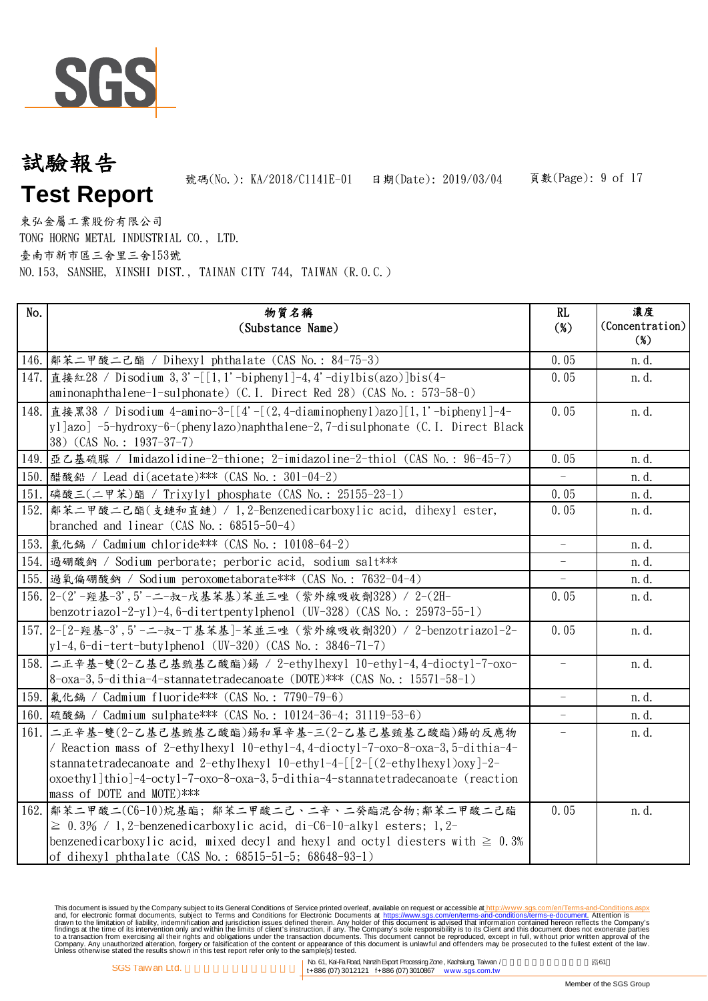

# 頁數(Page): 9 of 17 試驗報告 **Test Report** 號碼(No.): KA/2018/C1141E-01 日期(Date): 2019/03/04

東弘金屬工業股份有限公司 TONG HORNG METAL INDUSTRIAL CO., LTD. 臺南市新市區三舍里三舍153號 NO.153, SANSHE, XINSHI DIST., TAINAN CITY 744, TAIWAN (R.O.C.)

| No. | 物質名稱<br>(Substance Name)                                                                                                                                                                                                                                                                                                               | RL<br>$(\%)$             | 濃度<br>(Concentration)<br>$(\%)$ |
|-----|----------------------------------------------------------------------------------------------------------------------------------------------------------------------------------------------------------------------------------------------------------------------------------------------------------------------------------------|--------------------------|---------------------------------|
|     | 146.  鄰苯二甲酸二己酯 / Dihexyl phthalate (CAS No.: 84-75-3)                                                                                                                                                                                                                                                                                  | 0.05                     | n. d.                           |
|     | 147. 直接红28 / Disodium 3, 3'-[[1, 1'-biphenyl]-4, 4'-diylbis(azo)]bis(4-<br>aminonaphthalene-1-sulphonate) (C.I. Direct Red 28) (CAS No.: 573-58-0)                                                                                                                                                                                     | 0.05                     | n.d.                            |
|     | 148. 直接黑38 / Disodium 4-amino-3-[[4'-[(2,4-diaminophenyl)azo][1,1'-biphenyl]-4-<br>yl]azo] -5-hydroxy-6-(phenylazo)naphthalene-2,7-disulphonate (C.I. Direct Black<br>38) (CAS No.: 1937-37-7)                                                                                                                                         | 0.05                     | n.d.                            |
|     | 149. 亜乙基硫脲 / Imidazolidine-2-thione; 2-imidazoline-2-thiol (CAS No.: 96-45-7)                                                                                                                                                                                                                                                          | 0.05                     | n.d.                            |
|     | 150. 醋酸鉛 / Lead di(acetate) *** (CAS No.: 301-04-2)                                                                                                                                                                                                                                                                                    |                          | n.d.                            |
|     | 151. 磷酸三(二甲苯)酯 / Trixylyl phosphate (CAS No.: 25155-23-1)                                                                                                                                                                                                                                                                              | 0.05                     | n.d.                            |
|     | 152.   鄰苯二甲酸二己酯(支鏈和直鏈) / 1,2-Benzenedicarboxylic acid, dihexyl ester,<br>branched and linear $(CAS No. : 68515-50-4)$                                                                                                                                                                                                                  | 0.05                     | n.d.                            |
|     | 153.   氯化鎘 / Cadmium chloride *** (CAS No.: 10108-64-2)                                                                                                                                                                                                                                                                                | $\overline{\phantom{a}}$ | n. d.                           |
|     | 154. 過硼酸鈉 / Sodium perborate; perboric acid, sodium salt***                                                                                                                                                                                                                                                                            |                          | n.d.                            |
|     | 155. 過氧偏硼酸鈉 / Sodium peroxometaborate*** (CAS No.: 7632-04-4)                                                                                                                                                                                                                                                                          |                          | n.d.                            |
|     | 156. 2-(2'-羥基-3', 5'-二-叔-戊基苯基)苯並三唑 (紫外線吸收劑328) / 2-(2H-<br>benzotriazol-2-yl)-4,6-ditertpentylphenol (UV-328) (CAS No.: 25973-55-1)                                                                                                                                                                                                    | 0.05                     | n.d.                            |
|     | 157. 2-[2-經基-3', 5'-二-叔-丁基苯基]-苯並三唑 (紫外線吸收劑320) / 2-benzotriazol-2-<br>$y1-4$ , 6-di-tert-butylphenol (UV-320) (CAS No.: 3846-71-7)                                                                                                                                                                                                     | 0.05                     | n.d.                            |
|     | 158. 二正辛基-雙(2-乙基己基巰基乙酸酯)錫 / 2-ethylhexyl 10-ethyl-4,4-dioctyl-7-oxo-<br>8-oxa-3, 5-dithia-4-stannatetradecanoate (DOTE)*** (CAS No.: 15571-58-1)                                                                                                                                                                                       | $\qquad \qquad -$        | n.d.                            |
|     | 159.   氟化鎘 / Cadmium fluoride *** (CAS No.: 7790-79-6)                                                                                                                                                                                                                                                                                 |                          | n.d.                            |
|     | 160.  硫酸鎘 / Cadmium sulphate *** (CAS No.: 10124-36-4; 31119-53-6)                                                                                                                                                                                                                                                                     |                          | n.d.                            |
|     | 161. 二正辛基-雙(2-乙基己基巰基乙酸酯)錫和單辛基-三(2-乙基己基巰基乙酸酯)錫的反應物<br>/ Reaction mass of 2-ethylhexyl 10-ethyl-4, 4-dioctyl-7-oxo-8-oxa-3, 5-dithia-4-<br>stannated radecanoate and 2-ethylogyl $10$ -ethyl-4-[[2-[(2-ethylogyl) oxy]-2-<br>oxoethyl]thio]-4-octyl-7-oxo-8-oxa-3,5-dithia-4-stannatetradecanoate (reaction<br>mass of DOTE and MOTE)*** | $\overline{\phantom{a}}$ | n.d.                            |
|     | 162. 鄰苯二甲酸二(C6-10)烷基酯; 鄰苯二甲酸二己、二辛、二癸酯混合物;鄰苯二甲酸二己酯<br>$\geq 0.3\%$ / 1,2-benzenedicarboxylic acid, di-C6-10-alkyl esters; 1,2-<br>benzenedicarboxylic acid, mixed decyl and hexyl and octyl diesters with $\geq 0.3\%$<br>of dihexyl phthalate (CAS No.: 68515-51-5; 68648-93-1)                                                        | 0.05                     | n.d.                            |

This document is issued by the Company subject to Terms and Conditions of Service printed overleaf, available on request on electronic forms. asponsible to the Seneral Conditions for Electronic Documents at https://www.sgs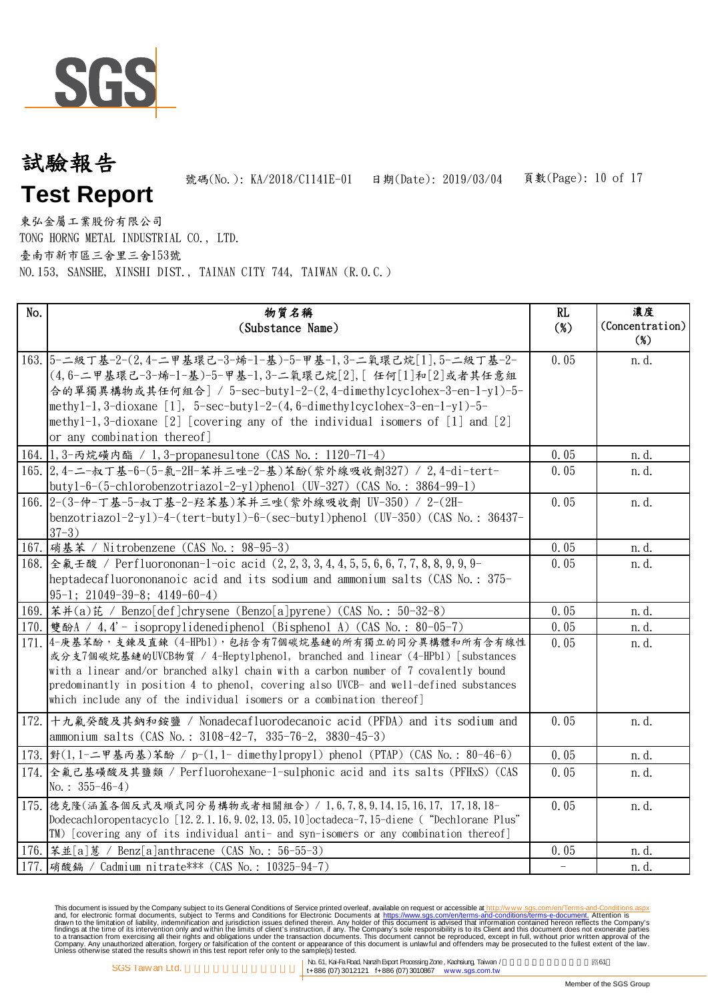

# 頁數(Page): 10 of 17 試驗報告 **Test Report** 號碼(No.): KA/2018/C1141E-01 日期(Date): 2019/03/04

東弘金屬工業股份有限公司 TONG HORNG METAL INDUSTRIAL CO., LTD. 臺南市新市區三舍里三舍153號 NO.153, SANSHE, XINSHI DIST., TAINAN CITY 744, TAIWAN (R.O.C.)

| No.  | 物質名稱<br>(Substance Name)                                                                                                                                                                                                                                                                                                                                                                                | RL<br>$(\%)$ | 濃度<br>(Concentration)<br>$(\%)$ |
|------|---------------------------------------------------------------------------------------------------------------------------------------------------------------------------------------------------------------------------------------------------------------------------------------------------------------------------------------------------------------------------------------------------------|--------------|---------------------------------|
|      | 163. 5-二級丁基-2-(2,4-二甲基環己-3-烯-1-基)-5-甲基-1,3-二氧環己烷[1],5-二級丁基-2-<br>(4,6-二甲基環己-3-烯-1-基)-5-甲基-1,3-二氧環己烷[2],「任何[1]和[2]或者其任意組<br>合的單獨異構物或其任何組合] / 5-sec-buty1-2-(2,4-dimethylcyclohex-3-en-1-yl)-5-<br>methyl-1, 3-dioxane [1], $5$ -sec-butyl-2- $(4, 6$ -dimethylcyclohex-3-en-1-yl)-5-<br>methyl-1,3-dioxane [2] [covering any of the individual isomers of $[1]$ and $[2]$<br>or any combination thereof] | 0.05         | n.d.                            |
|      | 164. 1, 3-丙烷磺内酯 / 1, 3-propanesultone (CAS No.: 1120-71-4)                                                                                                                                                                                                                                                                                                                                              | 0.05         | n. d.                           |
|      | 165. 2, 4-二-叔丁基-6-(5-氣-2H-苯并三唑-2-基)苯酚(紫外線吸收劑327) / 2, 4-di-tert-<br>$butyl-6-(5-chlorobenzotriazol-2-y1)phenol$ (UV-327) (CAS No.: 3864-99-1)                                                                                                                                                                                                                                                           | 0.05         | n.d.                            |
|      | 166. 2-(3-仲-丁基-5-叔丁基-2-羟苯基)苯并三唑(紫外線吸收劑 UV-350) / 2-(2H-<br>benzotriazol-2-yl)-4-(tert-butyl)-6-(sec-butyl)phenol (UV-350) (CAS No.: 36437-<br>$37-3)$                                                                                                                                                                                                                                                   | 0.05         | n.d.                            |
|      | 167. [硝基苯 / Nitrobenzene (CAS No.: 98-95-3)                                                                                                                                                                                                                                                                                                                                                             | 0.05         | n.d.                            |
|      | 168. 全氟壬酸 / Perfluorononan-1-oic acid (2, 2, 3, 3, 4, 4, 5, 5, 6, 6, 7, 7, 8, 8, 9, 9, 9-<br>heptadecafluorononanoic acid and its sodium and ammonium salts (CAS No.: 375-<br>$95-1$ ; 21049-39-8; 4149-60-4)                                                                                                                                                                                           | 0.05         | n. d.                           |
|      | 169.   苯并(a)芘 / Benzo[def]chrysene (Benzo[a]pyrene) (CAS No.: 50-32-8)                                                                                                                                                                                                                                                                                                                                  | 0.05         | n.d.                            |
|      | 170. 雙酚A / 4, 4' - isopropylidenediphenol (Bisphenol A) (CAS No.: 80-05-7)                                                                                                                                                                                                                                                                                                                              | 0.05         | n.d.                            |
|      | 171. 4-庚基苯酚,支鍊及直鍊 (4-HPb1),包括含有7個碳烷基鏈的所有獨立的同分異構體和所有含有線性<br>或分支7個碳烷基鏈的UVCB物質 / 4-Hepty1pheno1, branched and linear (4-HPb1) [substances<br>with a linear and/or branched alkyl chain with a carbon number of 7 covalently bound<br>predominantly in position 4 to phenol, covering also UVCB- and well-defined substances<br>which include any of the individual isomers or a combination thereof]       | 0.05         | n.d.                            |
| 172. | 十九氟癸酸及其鈉和銨鹽 / Nonadecafluorodecanoic acid (PFDA) and its sodium and<br>ammonium salts (CAS No.: 3108-42-7, 335-76-2, 3830-45-3)                                                                                                                                                                                                                                                                         | 0.05         | n.d.                            |
|      | 173. 對(1,1-二甲基丙基)苯酚 / p-(1,1- dimethy1propy1) phenol (PTAP) (CAS No.: 80-46-6)                                                                                                                                                                                                                                                                                                                          | 0.05         | n.d.                            |
|      | 174. 全氟己基磺酸及其鹽類 / Perfluorohexane-1-sulphonic acid and its salts (PFHxS) (CAS<br>No.: $355-46-4$ )                                                                                                                                                                                                                                                                                                      | 0.05         | n.d.                            |
|      | 175. 德克隆(涵蓋各個反式及順式同分易構物或者相關組合) / 1,6,7,8,9,14,15,16,17, 17,18,18-<br>Dodecachloropentacyclo [12.2.1.16, 9.02, 13.05, 10] octadeca-7, 15-diene ("Dechlorane Plus"<br>TM) [covering any of its individual anti- and syn-isomers or any combination thereof]                                                                                                                                               | 0.05         | n.d.                            |
|      | 176.   苯並[a] 蒽 / Benz[a]anthracene (CAS No.: 56-55-3)                                                                                                                                                                                                                                                                                                                                                   | 0.05         | n.d.                            |
|      | 177. 硝酸鎘 / Cadmium nitrate*** (CAS No.: 10325-94-7)                                                                                                                                                                                                                                                                                                                                                     |              | n.d.                            |

This document is issued by the Company subject to Terms and Conditions of Service printed overleaf, available on request on electronic forms. asponsible to the Seneral Conditions for Electronic Documents at https://www.sgs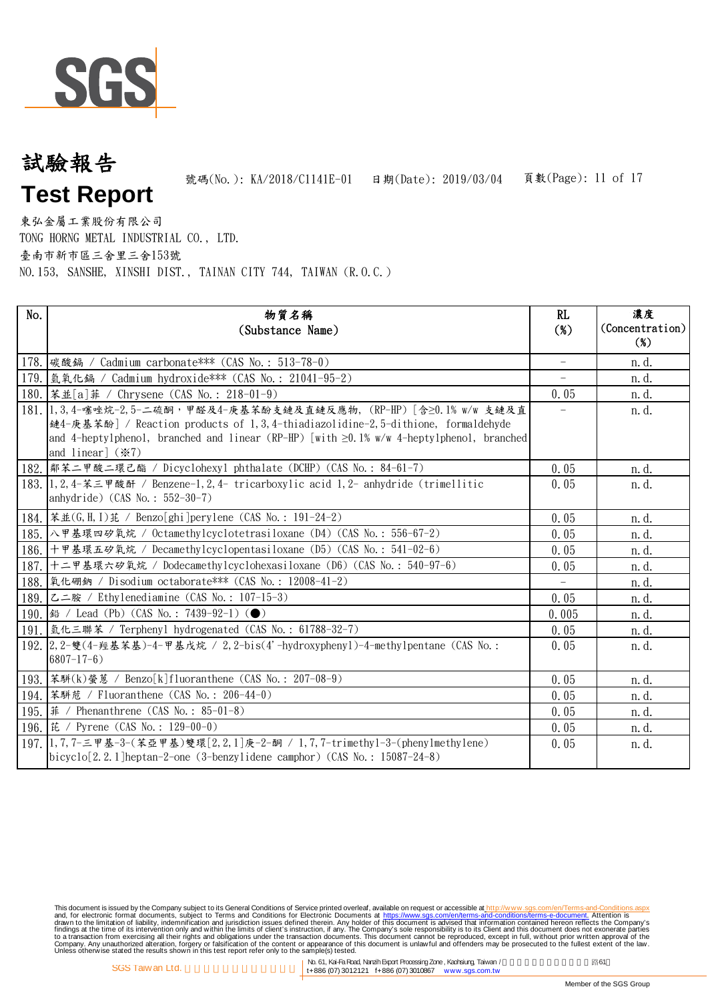

# 頁數(Page): 11 of 17 試驗報告 **Test Report** 號碼(No.): KA/2018/C1141E-01 日期(Date): 2019/03/04

東弘金屬工業股份有限公司 TONG HORNG METAL INDUSTRIAL CO., LTD. 臺南市新市區三舍里三舍153號 NO.153, SANSHE, XINSHI DIST., TAINAN CITY 744, TAIWAN (R.O.C.)

| No. | 物質名稱<br>(Substance Name)                                                                                                                                                                                                                                                                          | RL<br>$(\%)$             | 濃度<br>(Concentration)<br>$(\%)$ |
|-----|---------------------------------------------------------------------------------------------------------------------------------------------------------------------------------------------------------------------------------------------------------------------------------------------------|--------------------------|---------------------------------|
|     | 178. 碳酸鎘 / Cadmium carbonate *** (CAS No.: 513-78-0)                                                                                                                                                                                                                                              | $\overline{\phantom{0}}$ | n. d.                           |
|     | 179. [氫氧化鎘 / Cadmium hydroxide *** (CAS No.: 21041-95-2)                                                                                                                                                                                                                                          | $-$                      | n. d.                           |
|     | 180.   苯並[a] 菲 / Chrysene (CAS No.: 218-01-9)                                                                                                                                                                                                                                                     | 0.05                     | n. d.                           |
|     | 181. 1, 3, 4-噻唑烷-2, 5-二硫酮,甲醛及4-庚基苯酚支鏈及直鏈反應物, (RP-HP) [含≥0. 1% w/w 支鏈及直<br>鏈4-庚基苯酚] / Reaction products of 1,3,4-thiadiazolidine-2,5-dithione, formaldehyde<br>and 4-heptylphenol, branched and linear (RP-HP) [with $\geq 0.1\%$ w/w 4-heptylphenol, branched<br>and linear] $(\divideontimes 7)$ | $\overline{\phantom{a}}$ | n.d.                            |
|     | 182.  鄰苯二甲酸二環己酯 / Dicyclohexyl phthalate (DCHP) (CAS No.: 84-61-7)                                                                                                                                                                                                                                | 0.05                     | n.d.                            |
|     | 183. 1.2, 4-苯三甲酸酐 / Benzene-1, 2, 4- tricarboxylic acid 1, 2- anhydride (trimellitic<br>anhydride) (CAS No.: 552-30-7)                                                                                                                                                                            | 0.05                     | n. d.                           |
|     | 184.   苯並(G, H, I) 芘 / Benzo[ghi]perylene (CAS No.: 191-24-2)                                                                                                                                                                                                                                     | 0.05                     | n.d.                            |
|     | 185. 八甲基環四矽氧烷 / Octamethylcyclotetrasiloxane (D4) (CAS No.: 556-67-2)                                                                                                                                                                                                                             | 0.05                     | n. d.                           |
|     | 186. 十甲基環五矽氧烷 / Decamethylcyclopentasiloxane (D5) (CAS No.: 541-02-6)                                                                                                                                                                                                                             | 0.05                     | n. d.                           |
|     | 187. 十二甲基環六矽氧烷 / Dodecamethylcyclohexasiloxane (D6) (CAS No.: 540-97-6)                                                                                                                                                                                                                           | 0.05                     | n. d.                           |
|     | 188.  氧化硼鈉 / Disodium octaborate *** (CAS No.: 12008-41-2)                                                                                                                                                                                                                                        |                          | n.d.                            |
|     | 189. 乙二胺 / Ethylenediamine (CAS No.: 107-15-3)                                                                                                                                                                                                                                                    | 0.05                     | n.d.                            |
|     |                                                                                                                                                                                                                                                                                                   | 0.005                    | n. d.                           |
|     | 191.   氫化三聯苯 / Terphenyl hydrogenated (CAS No.: 61788-32-7)                                                                                                                                                                                                                                       | 0.05                     | n.d.                            |
|     | 192. 2. 2-雙(4-羥基苯基)-4-甲基戊烷 / 2, 2-bis(4'-hydroxypheny1)-4-methy1pentane (CAS No.:<br>$6807 - 17 - 6$ )                                                                                                                                                                                            | 0.05                     | n. d.                           |
|     | 193.  苯騈(k)螢蒽 / Benzo[k]fluoranthene (CAS No.: 207-08-9)                                                                                                                                                                                                                                          | 0.05                     | n. d.                           |
|     | 194.  苯駢苊 / Fluoranthene (CAS No.: 206-44-0)                                                                                                                                                                                                                                                      | 0.05                     | n. d.                           |
|     | 195. 第 / Phenanthrene (CAS No.: 85-01-8)                                                                                                                                                                                                                                                          | 0.05                     | n. d.                           |
|     | 196.   芘 / Pyrene (CAS No.: 129-00-0)                                                                                                                                                                                                                                                             | 0.05                     | n. d.                           |
|     | 197.  1,7,7-三甲基-3-(苯亞甲基)雙環[2,2,1]庚-2-酮 / 1,7,7-trimethy1-3-(phenylmethylene)<br>$bicyclo[2.2.1]heptan-2-one (3-benzylidene camphor) (CAS No.: 15087-24-8)$                                                                                                                                        | 0.05                     | n. d.                           |

This document is issued by the Company subject to Terms and Conditions of Service printed overleaf, available on request on electronic forms. asponsible to the Seneral Conditions for Electronic Documents at https://www.sgs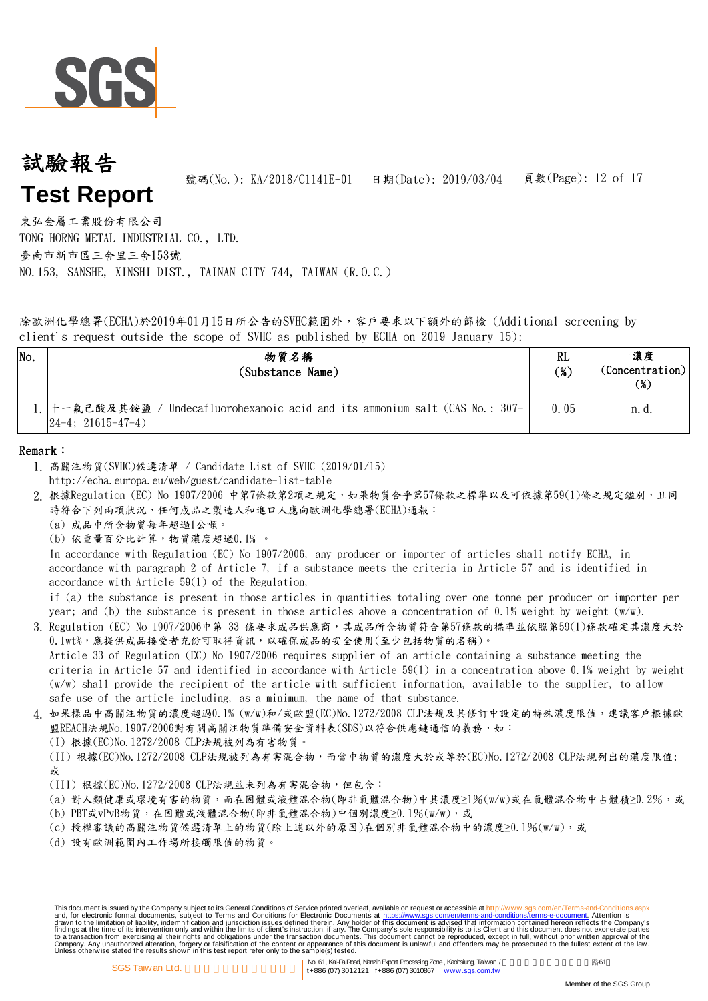

## 頁數(Page): 12 of 17 試驗報告 **Test Report** 號碼(No.): KA/2018/C1141E-01 日期(Date): 2019/03/04

東弘金屬工業股份有限公司 TONG HORNG METAL INDUSTRIAL CO., LTD. 臺南市新市區三舍里三舍153號 NO.153, SANSHE, XINSHI DIST., TAINAN CITY 744, TAIWAN (R.O.C.)

除歐洲化學總署(ECHA)於2019年01月15日所公告的SVHC範圍外,客戶要求以下額外的篩檢 (Additional screening by client's request outside the scope of SVHC as published by ECHA on 2019 January 15):

| No. | 物質名稱<br>(Substance Name)                                                                                                         | RL<br>$(\%)$ | 濃度<br>(Concentration)<br>(%) |
|-----|----------------------------------------------------------------------------------------------------------------------------------|--------------|------------------------------|
|     | ! 十一氟己酸及其銨鹽 / Undecafluorohexanoic acid and its ammonium salt (CAS No.: 307-  <br>$\left  \frac{24-4}{21615-47-4} \right\rangle$ | 0.05         | n. d.                        |

#### Remark:

- 1. 高關注物質(SVHC)候選清單 / Candidate List of SVHC (2019/01/15)
- http://echa.europa.eu/web/guest/candidate-list-table
- 2. 根據Regulation (EC) No 1907/2006 中第7條款第2項之規定,如果物質合乎第57條款之標準以及可依據第59(1)條之規定鑑別,且同 時符合下列兩項狀況,任何成品之製造人和進口人應向歐洲化學總署(ECHA)通報:
	- (a) 成品中所含物質每年超過1公噸。
	- (b) 依重量百分比計算,物質濃度超過0.1﹪。

In accordance with Regulation (EC) No 1907/2006, any producer or importer of articles shall notify ECHA, in accordance with paragraph 2 of Article 7, if a substance meets the criteria in Article 57 and is identified in accordance with Article 59(1) of the Regulation,

if (a) the substance is present in those articles in quantities totaling over one tonne per producer or importer per year; and (b) the substance is present in those articles above a concentration of 0.1% weight by weight (w/w).

3. Regulation (EC) No 1907/2006中第 33 條要求成品供應商,其成品所含物質符合第57條款的標準並依照第59(1)條款確定其濃度大於 Article 33 of Regulation (EC) No 1907/2006 requires supplier of an article containing a substance meeting the criteria in Article 57 and identified in accordance with Article 59(1) in a concentration above 0.1% weight by weight (w/w) shall provide the recipient of the article with sufficient information, available to the supplier, to allow safe use of the article including, as a minimum, the name of that substance. 0.1wt%,應提供成品接受者充份可取得資訊,以確保成品的安全使用(至少包括物質的名稱)。

- 4. 如果樣品中高關注物質的濃度超過0.1% (w/w)和/或歐盟(EC)No.1272/2008 CLP法規及其修訂中設定的特殊濃度限值,建議客戶根據歐 盟REACH法規No.1907/2006對有關高關注物質準備安全資料表(SDS)以符合供應鏈通信的義務,如:
	- (I) 根據(EC)No.1272/2008 CLP法規被列為有害物質。

(II) 根據(EC)No.1272/2008 CLP法規被列為有害混合物,而當中物質的濃度大於或等於(EC)No.1272/2008 CLP法規列出的濃度限值; 或

- (III) 根據(EC)No.1272/2008 CLP法規並未列為有害混合物,但包含:
- (a) 對人類健康或環境有害的物質,而在固體或液體混合物(即非氣體混合物)中其濃度≥1%(w/w)或在氣體混合物中占體積≥0.2%,或
- (b) PBT或vPvB物質,在固體或液體混合物(即非氣體混合物)中個別濃度≥0.1%(w/w),或
- (c) 授權審議的高關注物質候選清單上的物質(除上述以外的原因)在個別非氣體混合物中的濃度≥0.1%(w/w),或
- (d) 設有歐洲範圍內工作場所接觸限值的物質。

No. 61, Kai-FaRoad, NanzihExport ProcessingZone, Kaohsiung, Taiwan / 路61 SGS Taiwan Ltd. <br>(1+886 (07) 3012121 f+886 (07) 3010867 www.sgs.com.tw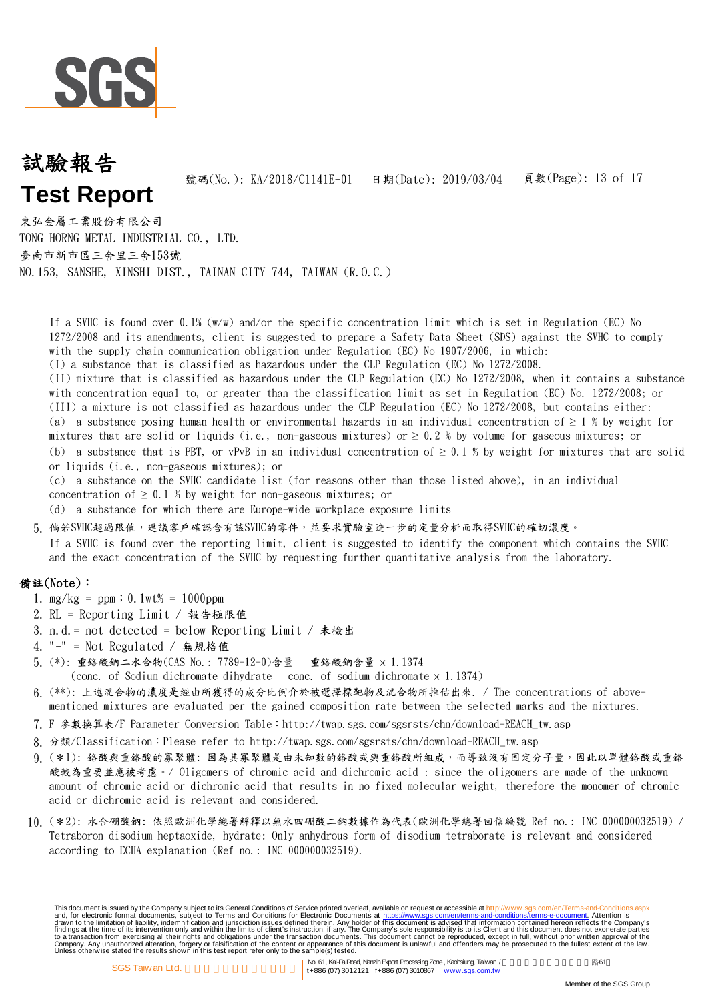

#### 頁數(Page): 13 of 17 試驗報告 **Test Report** 號碼(No.): KA/2018/C1141E-01 日期(Date): 2019/03/04

東弘金屬工業股份有限公司 TONG HORNG METAL INDUSTRIAL CO., LTD. 臺南市新市區三舍里三舍153號 NO.153, SANSHE, XINSHI DIST., TAINAN CITY 744, TAIWAN (R.O.C.)

(I) a substance that is classified as hazardous under the CLP Regulation (EC) No 1272/2008. (II) mixture that is classified as hazardous under the CLP Regulation (EC) No 1272/2008, when it contains a substance If a SVHC is found over 0.1% (w/w) and/or the specific concentration limit which is set in Regulation (EC) No 1272/2008 and its amendments, client is suggested to prepare a Safety Data Sheet (SDS) against the SVHC to comply with the supply chain communication obligation under Regulation (EC) No 1907/2006, in which:

with concentration equal to, or greater than the classification limit as set in Regulation (EC) No. 1272/2008; or (III) a mixture is not classified as hazardous under the CLP Regulation (EC) No 1272/2008, but contains either: (a) a substance posing human health or environmental hazards in an individual concentration of  $\geq 1$  % by weight for mixtures that are solid or liquids (i.e., non-gaseous mixtures) or  $\geq 0.2$  % by volume for gaseous mixtures; or (b) a substance that is PBT, or vPvB in an individual concentration of  $\geq 0.1$  % by weight for mixtures that are solid or liquids (i.e., non-gaseous mixtures); or

(c) a substance on the SVHC candidate list (for reasons other than those listed above), in an individual concentration of  $\geq 0.1$  % by weight for non-gaseous mixtures; or

(d) a substance for which there are Europe-wide workplace exposure limits

5. 倘若SVHC超過限值,建議客戶確認含有該SVHC的零件,並要求實驗室進一步的定量分析而取得SVHC的確切濃度。

If a SVHC is found over the reporting limit, client is suggested to identify the component which contains the SVHC and the exact concentration of the SVHC by requesting further quantitative analysis from the laboratory.

#### 備註(Note):

- 1. mg/kg = ppm;0.1wt% = 1000ppm
- 2. RL = Reporting Limit / 報告極限值
- 3. n.d.= not detected = below Reporting Limit / 未檢出
- 4. "-" = Not Regulated / 無規格值
- 5. (\*): 重鉻酸鈉二水合物(CAS No.: 7789-12-0)含量 = 重鉻酸鈉含量 × 1.1374 (conc. of Sodium dichromate dihydrate = conc. of sodium dichromate  $\times$  1.1374)
- 6. (\*\*): 上述混合物的濃度是經由所獲得的成分比例介於被選擇標靶物及混合物所推估出來. / The concentrations of abovementioned mixtures are evaluated per the gained composition rate between the selected marks and the mixtures.
- 
- 7. F 參數換算表/F Parameter Conversion Table:http://twap.sgs.com/sgsrsts/chn/download-REACH\_tw.asp
- 8.分類/Classification:Please refer to http://twap.sgs.com/sgsrsts/chn/download-REACH\_tw.asp
- 9. (\*1): 络酸與重鉻酸的寡聚體: 因為其寡聚體是由未知數的鉻酸或與重鉻酸所組成,而導致沒有固定分子量,因此以單體鉻酸或重鉻 酸較為重要並應被考慮。/ Oligomers of chromic acid and dichromic acid : since the oligomers are made of the unknown amount of chromic acid or dichromic acid that results in no fixed molecular weight, therefore the monomer of chromic acid or dichromic acid is relevant and considered.
- 10. (\*2): 水合硼酸鈉: 依照歐洲化學總署解釋以無水四硼酸二鈉數據作為代表(歐洲化學總署回信編號 Ref no.: INC 000000032519) / Tetraboron disodium heptaoxide, hydrate: Only anhydrous form of disodium tetraborate is relevant and considered according to ECHA explanation (Ref no.: INC 000000032519).

This document is issued by the Company subject to Terms and Conditions of Service printed overleaf, available on request on electronic forms. asponsible to the Seneral Conditions for Electronic Documents at https://www.sgs

No. 61, Kai-FaRoad, NanzihExport ProcessingZone, Kaohsiung, Taiwan / 路61 SGS Taiwan Ltd. <br>(1+886 (07) 3012121 f+886 (07) 3010867 www.sgs.com.tw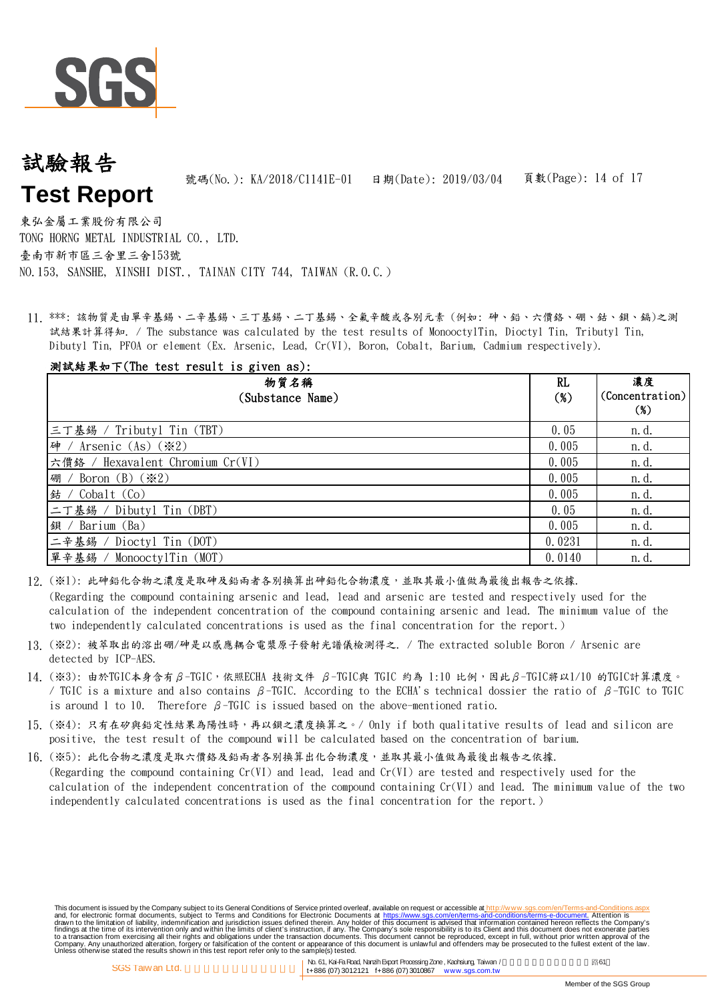

## 頁數(Page): 14 of 17 試驗報告 **Test Report** 號碼(No.): KA/2018/C1141E-01 日期(Date): 2019/03/04

東弘金屬工業股份有限公司 TONG HORNG METAL INDUSTRIAL CO., LTD. 臺南市新市區三舍里三舍153號 NO.153, SANSHE, XINSHI DIST., TAINAN CITY 744, TAIWAN (R.O.C.)

11. \*\*\*: 該物質是由單辛基錫、二辛基錫、三丁基錫、二丁基錫、全氟辛酸或各別元素 (例如: 砷、鉛、六價鉻、硼、鈷、鋇、鎘)之測 試結果計算得知. / The substance was calculated by the test results of MonooctylTin, Dioctyl Tin, Tributyl Tin, Dibutyl Tin, PFOA or element (Ex. Arsenic, Lead, Cr(VI), Boron, Cobalt, Barium, Cadmium respectively).

## 測試結果如下(The test result is given as):

| 物質名稱<br>(Substance Name)              | RL<br>$(\%)$ | 濃度<br>(Concentration)<br>$(\%)$ |
|---------------------------------------|--------------|---------------------------------|
| 三丁基錫 / Tributyl Tin (TBT)             | 0.05         | n. d.                           |
| 砷 / Arsenic (As) $(\divideontimes 2)$ | 0.005        | n. d.                           |
| 六價鉻 / Hexavalent Chromium Cr(VI)      | 0.005        | n. d.                           |
| 硼 / Boron (B) $(\divideontimes 2)$    | 0.005        | n.d.                            |
| 结 / $Cobalt$ $(Co)$                   | 0.005        | n.d.                            |
| 二丁基錫 / Dibutyl Tin (DBT)              | 0.05         | n.d.                            |
| 鋇 / Barium $(Ba)$                     | 0.005        | n. d.                           |
| 二辛基錫 / Dioctyl Tin (DOT)              | 0.0231       | n. d.                           |
| 單辛基錫 / MonooctylTin (MOT)             | 0.0140       | n. d.                           |

- 12. (※1): 此砷鉛化合物之濃度是取砷及鉛兩者各別換算出砷鉛化合物濃度,並取其最小值做為最後出報告之依據. (Regarding the compound containing arsenic and lead, lead and arsenic are tested and respectively used for the calculation of the independent concentration of the compound containing arsenic and lead. The minimum value of the two independently calculated concentrations is used as the final concentration for the report.)
- 13. (※2): 被萃取出的溶出硼/砷是以感應耦合電漿原子發射光譜儀檢測得之. / The extracted soluble Boron / Arsenic are detected by ICP-AES.
- 14. (※3): 由於TGIC本身含有β-TGIC,依照ECHA 技術文件 β-TGIC與 TGIC 約為 1:10 比例,因此β-TGIC將以1/10 的TGIC計算濃度。 / TGIC is a mixture and also contains β-TGIC. According to the ECHA's technical dossier the ratio of β-TGIC to TGIC is around 1 to 10. Therefore  $\beta$ -TGIC is issued based on the above-mentioned ratio.
- 15. (※4): 只有在矽與鉛定性結果為陽性時,再以鋇之濃度換算之。/ Only if both qualitative results of lead and silicon are positive, the test result of the compound will be calculated based on the concentration of barium.
- 16. (※5): 此化合物之濃度是取六價鉻及鉛兩者各別換算出化合物濃度,並取其最小值做為最後出報告之依據. (Regarding the compound containing Cr(VI) and lead, lead and Cr(VI) are tested and respectively used for the calculation of the independent concentration of the compound containing Cr(VI) and lead. The minimum value of the two independently calculated concentrations is used as the final concentration for the report.)

This document is issued by the Company subject to Terms and Conditions of Service printed overleaf, available on request on electronic forms. asponsible to the Seneral Conditions for Electronic Documents at https://www.sgs

No. 61, Kai-FaRoad, NanzihExport ProcessingZone, Kaohsiung, Taiwan / 路61 SGS Taiwan Ltd. <br>(1+886 (07) 3012121 f+886 (07) 3010867 www.sgs.com.tw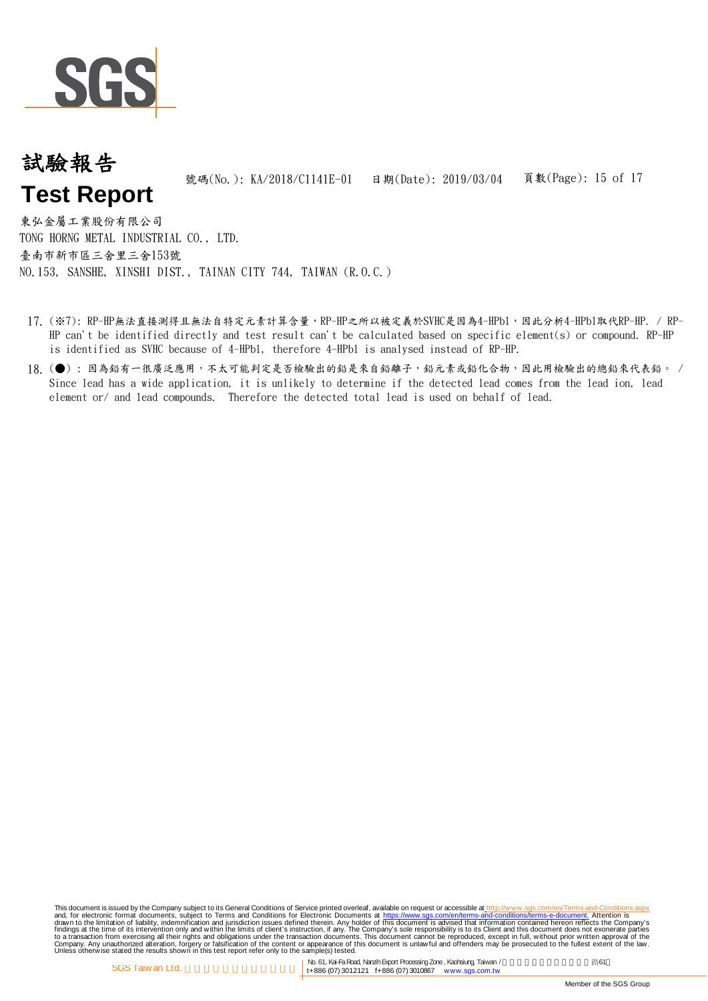

#### 頁數(Page): 15 of 17 試驗報告 **Test Report** 號碼(No.): KA/2018/C1141E-01 日期(Date): 2019/03/04

東弘金屬工業股份有限公司 TONG HORNG METAL INDUSTRIAL CO., LTD. 臺南市新市區三舍里三舍153號 NO.153, SANSHE, XINSHI DIST., TAINAN CITY 744, TAIWAN (R.O.C.)

- 17. (※7): RP-HP無法直接測得且無法自特定元素計算含量,RP-HP之所以被定義於SVHC是因為4-HPbl,因此分析4-HPbl取代RP-HP. / RP-HP can't be identified directly and test result can't be calculated based on specific element(s) or compound. RP-HP is identified as SVHC because of 4-HPbl, therefore 4-HPbl is analysed instead of RP-HP.
- 18. (●): 因為鉛有一很廣泛應用,不太可能判定是否檢驗出的鉛是來自鉛離子,鉛元素或鉛化合物,因此用檢驗出的總鉛來代表鉛。 / Since lead has a wide application, it is unlikely to determine if the detected lead comes from the lead ion, lead element or/ and lead compounds. Therefore the detected total lead is used on behalf of lead.

This document is issued by the Company subject to Terms and Conditions of Service printed overleaf, available on request on electronic forms. asponsible to the Seneral Conditions for Electronic Documents at https://www.sgs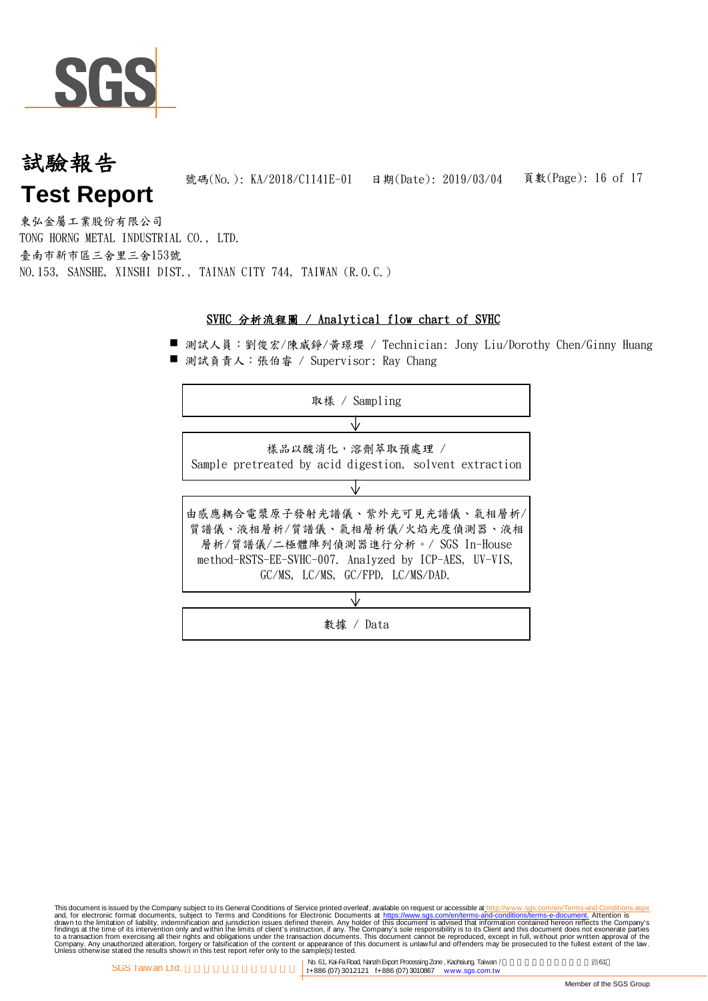

#### 頁數(Page): 16 of 17 試驗報告 **Test Report** 號碼(No.): KA/2018/C1141E-01 日期(Date): 2019/03/04

東弘金屬工業股份有限公司 TONG HORNG METAL INDUSTRIAL CO., LTD. 臺南市新市區三舍里三舍153號 NO.153, SANSHE, XINSHI DIST., TAINAN CITY 744, TAIWAN (R.O.C.)

#### SVHC 分析流程圖 / Analytical flow chart of SVHC

■ 測試人員:劉俊宏/陳威錚/黃璟瓔 / Technician: Jony Liu/Dorothy Chen/Ginny Huang ■ 測試負責人:張伯睿 / Supervisor: Ray Chang



This document is issued by the Company subject to Terms and Conditions of Service printed overleaf, available on request on electronic forms. asponsible to the Seneral Conditions for Electronic Documents at https://www.sgs